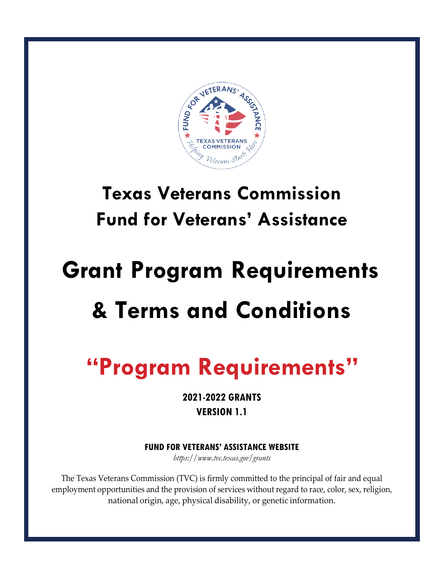

# **Texas Veterans Commission Fund for Veterans' Assistance**

# **Grant Program Requirements & Terms and Conditions**

# **"Program Requirements"**

**2021-2022 GRANTS VERSION 1.1**

**FUND FOR VETERANS' ASSISTANCE WEBSITE**

*https:/[/www.tvc.texas.gov/grants](http://www.tvc.texas.gov/grants)*

The Texas Veterans Commission (TVC) is firmly committed to the principal of fair and equal employment opportunities and the provision of services without regard to race, color, sex, religion, national origin, age, physical disability, or genetic information.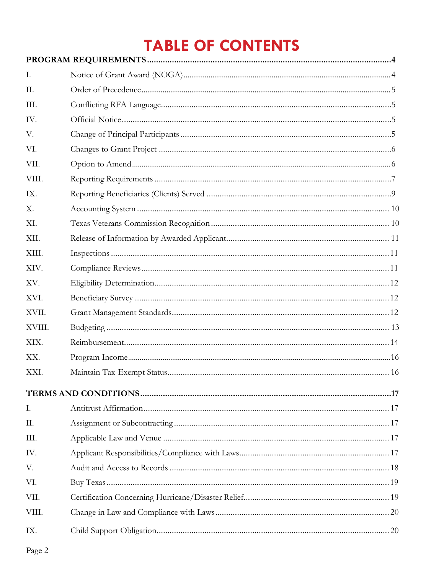# **TABLE OF CONTENTS**

| Ι.     |  |
|--------|--|
| II.    |  |
| III.   |  |
| IV.    |  |
| V.     |  |
| VI.    |  |
| VII.   |  |
| VIII.  |  |
| IX.    |  |
| X.     |  |
| XI.    |  |
| XII.   |  |
| XIII.  |  |
| XIV.   |  |
| XV.    |  |
| XVI.   |  |
| XVII.  |  |
| XVIII. |  |
| XIX.   |  |
| XX.    |  |
| XXI.   |  |
|        |  |
| I.     |  |
| Π.     |  |
| III.   |  |
| IV.    |  |
| V.     |  |
| VI.    |  |
| VII.   |  |
| VIII.  |  |
| IX.    |  |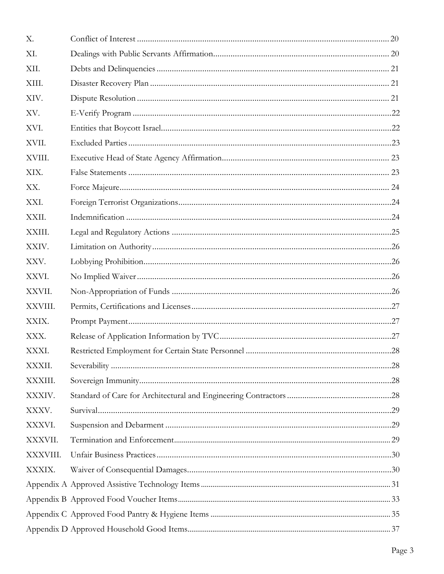| X.       |  |  |  |  |  |
|----------|--|--|--|--|--|
| XI.      |  |  |  |  |  |
| XII.     |  |  |  |  |  |
| XIII.    |  |  |  |  |  |
| XIV.     |  |  |  |  |  |
| XV.      |  |  |  |  |  |
| XVI.     |  |  |  |  |  |
| XVII.    |  |  |  |  |  |
| XVIII.   |  |  |  |  |  |
| XIX.     |  |  |  |  |  |
| XX.      |  |  |  |  |  |
| XXI.     |  |  |  |  |  |
| XXII.    |  |  |  |  |  |
| XXIII.   |  |  |  |  |  |
| XXIV.    |  |  |  |  |  |
| XXV.     |  |  |  |  |  |
| XXVI.    |  |  |  |  |  |
| XXVII.   |  |  |  |  |  |
| XXVIII.  |  |  |  |  |  |
| XXIX.    |  |  |  |  |  |
| XXX.     |  |  |  |  |  |
| XXXI.    |  |  |  |  |  |
| XXXII.   |  |  |  |  |  |
| XXXIII.  |  |  |  |  |  |
| XXXIV.   |  |  |  |  |  |
| XXXV.    |  |  |  |  |  |
| XXXVI.   |  |  |  |  |  |
| XXXVII.  |  |  |  |  |  |
| XXXVIII. |  |  |  |  |  |
| XXXIX.   |  |  |  |  |  |
|          |  |  |  |  |  |
|          |  |  |  |  |  |
|          |  |  |  |  |  |
|          |  |  |  |  |  |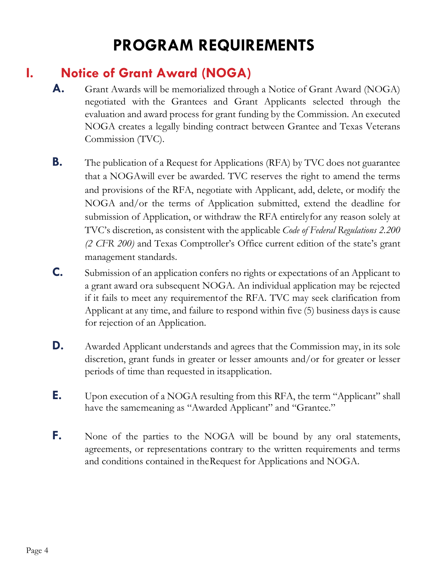# **PROGRAM REQUIREMENTS**

# <span id="page-3-0"></span>**I. Notice of Grant Award (NOGA)**

- **A.** Grant Awards will be memorialized through a Notice of Grant Award (NOGA) negotiated with the Grantees and Grant Applicants selected through the evaluation and award process for grant funding by the Commission. An executed NOGA creates a legally binding contract between Grantee and Texas Veterans Commission (TVC).
- **B.** The publication of a Request for Applications (RFA) by TVC does not guarantee that a NOGAwill ever be awarded. TVC reserves the right to amend the terms and provisions of the RFA, negotiate with Applicant, add, delete, or modify the NOGA and/or the terms of Application submitted, extend the deadline for submission of Application, or withdraw the RFA entirelyfor any reason solely at TVC's discretion, as consistent with the applicable *Code of Federal Regulations 2.200 (2 CFR 200)* and Texas Comptroller's Office current edition of the state's grant management standards.
- **C.** Submission of an application confers no rights or expectations of an Applicant to a grant award ora subsequent NOGA. An individual application may be rejected if it fails to meet any requirementof the RFA. TVC may seek clarification from Applicant at any time, and failure to respond within five (5) business days is cause for rejection of an Application.
- **D.** Awarded Applicant understands and agrees that the Commission may, in its sole discretion, grant funds in greater or lesser amounts and/or for greater or lesser periods of time than requested in itsapplication.
- **E.** Upon execution of a NOGA resulting from this RFA, the term "Applicant" shall have the samemeaning as "Awarded Applicant" and "Grantee."
- F. None of the parties to the NOGA will be bound by any oral statements, agreements, or representations contrary to the written requirements and terms and conditions contained in theRequest for Applications and NOGA.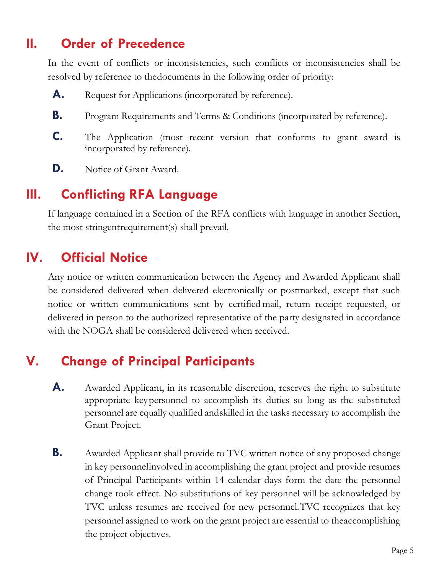# <span id="page-4-0"></span>**II. Order of Precedence**

In the event of conflicts or inconsistencies, such conflicts or inconsistencies shall be resolved by reference to thedocuments in the following order of priority:

- A. Request for Applications (incorporated by reference).
- **B.** Program Requirements and Terms & Conditions (incorporated by reference).
- **C.** The Application (most recent version that conforms to grant award is incorporated by reference).
- **D.** Notice of Grant Award.

# **III. Conflicting RFA Language**

If language contained in a Section of the RFA conflicts with language in another Section, the most stringentrequirement(s) shall prevail.

# **IV. Official Notice**

Any notice or written communication between the Agency and Awarded Applicant shall be considered delivered when delivered electronically or postmarked, except that such notice or written communications sent by certified mail, return receipt requested, or delivered in person to the authorized representative of the party designated in accordance with the NOGA shall be considered delivered when received.

# **V. Change of Principal Participants**

- **A.** Awarded Applicant, in its reasonable discretion, reserves the right to substitute appropriate keypersonnel to accomplish its duties so long as the substituted personnel are equally qualified andskilled in the tasks necessary to accomplish the Grant Project.
- **B.** Awarded Applicant shall provide to TVC written notice of any proposed change in key personnelinvolved in accomplishing the grant project and provide resumes of Principal Participants within 14 calendar days form the date the personnel change took effect. No substitutions of key personnel will be acknowledged by TVC unless resumes are received for new personnel.TVC recognizes that key personnel assigned to work on the grant project are essential to theaccomplishing the project objectives.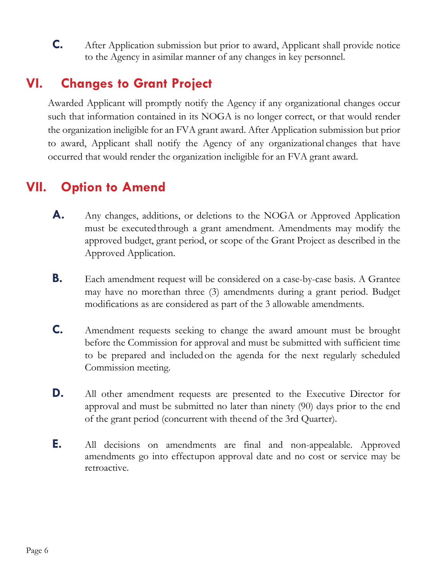<span id="page-5-0"></span>**C.** After Application submission but prior to award, Applicant shall provide notice to the Agency in asimilar manner of any changes in key personnel.

# **VI. Changes to Grant Project**

Awarded Applicant will promptly notify the Agency if any organizational changes occur such that information contained in its NOGA is no longer correct, or that would render the organization ineligible for an FVA grant award. After Application submission but prior to award, Applicant shall notify the Agency of any organizational changes that have occurred that would render the organization ineligible for an FVA grant award.

# **VII. Option to Amend**

- **A.** Any changes, additions, or deletions to the NOGA or Approved Application must be executed through a grant amendment. Amendments may modify the approved budget, grant period, or scope of the Grant Project as described in the Approved Application.
- **B.** Each amendment request will be considered on a case-by-case basis. A Grantee may have no morethan three (3) amendments during a grant period. Budget modifications as are considered as part of the 3 allowable amendments.
- **C.** Amendment requests seeking to change the award amount must be brought before the Commission for approval and must be submitted with sufficient time to be prepared and included on the agenda for the next regularly scheduled Commission meeting.
- **D.** All other amendment requests are presented to the Executive Director for approval and must be submitted no later than ninety (90) days prior to the end of the grant period (concurrent with theend of the 3rd Quarter).
- **E.** All decisions on amendments are final and non-appealable. Approved amendments go into effectupon approval date and no cost or service may be retroactive.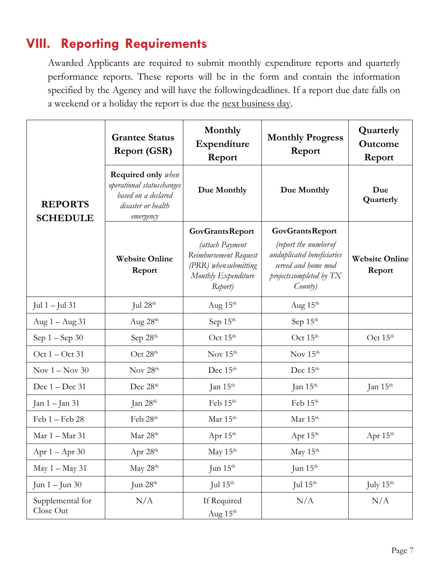# <span id="page-6-0"></span>**VIII. Reporting Requirements**

Awarded Applicants are required to submit monthly expenditure reports and quarterly performance reports. These reports will be in the form and contain the information specified by the Agency and will have the followingdeadlines. If a report due date falls on a weekend or a holiday the report is due the next business day.

|                                   | <b>Grantee Status</b><br><b>Report (GSR)</b>                                                                                    | Monthly<br>Expenditure<br>Report                                                                                              | <b>Monthly Progress</b><br>Report                                                                                                           | Quarterly<br>Outcome<br>Report  |
|-----------------------------------|---------------------------------------------------------------------------------------------------------------------------------|-------------------------------------------------------------------------------------------------------------------------------|---------------------------------------------------------------------------------------------------------------------------------------------|---------------------------------|
| <b>REPORTS</b><br><b>SCHEDULE</b> | <b>Required only</b> when<br>operational statuschanges<br>Due Monthly<br>based on a declared<br>disaster or health<br>emergency |                                                                                                                               | Due Monthly                                                                                                                                 | Due<br>Quarterly                |
|                                   | <b>Website Online</b><br>Report                                                                                                 | <b>GovGrantsReport</b><br>(attach Payment<br>Reimbursement Request<br>(PRR) when submitting<br>Monthly Expenditure<br>Report) | <b>GovGrantsReport</b><br>(report the number of<br>unduplicated beneficiaries<br>served and home mod<br>projects completed by TX<br>County) | <b>Website Online</b><br>Report |
| Jul $1 -$ Jul $31$                | Jul $28th$                                                                                                                      | Aug $15th$                                                                                                                    | Aug $15th$                                                                                                                                  |                                 |
| Aug $1 -$ Aug $31$                | Aug $28th$                                                                                                                      | Sep $15th$                                                                                                                    | Sep 15th                                                                                                                                    |                                 |
| Sep $1 -$ Sep $30$                | Sep $28th$                                                                                                                      | Oct $15th$                                                                                                                    | Oct $15th$                                                                                                                                  | Oct 15 <sup>th</sup>            |
| Oct 1 - Oct 31                    | Oct 28 <sup>th</sup>                                                                                                            | Nov $15th$                                                                                                                    | Nov $15^{\text{th}}$                                                                                                                        |                                 |
| Nov $1 -$ Nov 30                  | Nov 28 <sup>th</sup>                                                                                                            | Dec 15 <sup>th</sup>                                                                                                          | Dec 15 <sup>th</sup>                                                                                                                        |                                 |
| Dec $1 - Dec 31$                  | Dec 28 <sup>th</sup>                                                                                                            | Jan $15th$                                                                                                                    | Jan $15th$                                                                                                                                  | Jan $15th$                      |
| Jan 1 – Jan 31                    | Jan $28th$                                                                                                                      | Feb 15th                                                                                                                      | Feb 15th                                                                                                                                    |                                 |
| $Feb 1 - Feb 28$                  | Feb 28 <sup>th</sup>                                                                                                            | Mar 15 <sup>th</sup>                                                                                                          | Mar $15^{\text{th}}$                                                                                                                        |                                 |
| Mar 1 - Mar 31                    | Mar 28th                                                                                                                        | Apr 15th                                                                                                                      | Apr 15th                                                                                                                                    | Apr 15th                        |
| Apr 1 - Apr 30                    | Apr 28 <sup>th</sup>                                                                                                            | May 15th                                                                                                                      | May 15th                                                                                                                                    |                                 |
| May 1 - May 31                    | May 28th                                                                                                                        | Jun 15 <sup>th</sup>                                                                                                          | Jun 15 <sup>th</sup>                                                                                                                        |                                 |
| Jun $1 -$ Jun $30$                | Jun 28 <sup>th</sup>                                                                                                            | Jul $15^{\text{th}}$                                                                                                          | Jul $15th$                                                                                                                                  | July $15^{\rm th}$              |
| Supplemental for<br>Close Out     | N/A                                                                                                                             | If Required<br>Aug 15th                                                                                                       | N/A                                                                                                                                         | N/A                             |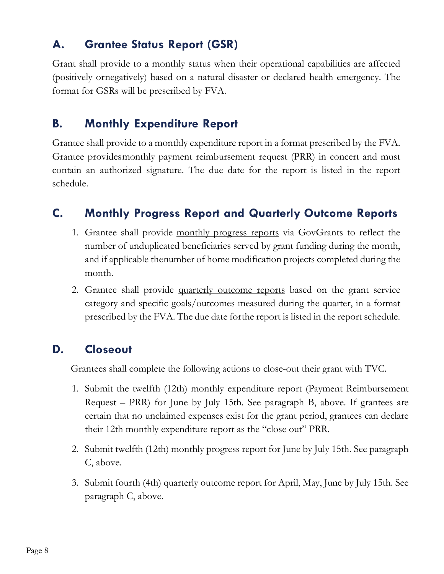#### **A. Grantee Status Report (GSR)**

Grant shall provide to a monthly status when their operational capabilities are affected (positively ornegatively) based on a natural disaster or declared health emergency. The format for GSRs will be prescribed by FVA.

#### **B. Monthly Expenditure Report**

Grantee shall provide to a monthly expenditure report in a format prescribed by the FVA. Grantee providesmonthly payment reimbursement request (PRR) in concert and must contain an authorized signature. The due date for the report is listed in the report schedule.

### **C. Monthly Progress Report and Quarterly Outcome Reports**

- 1. Grantee shall provide monthly progress reports via GovGrants to reflect the number of unduplicated beneficiaries served by grant funding during the month, and if applicable thenumber of home modification projects completed during the month.
- 2. Grantee shall provide quarterly outcome reports based on the grant service category and specific goals/outcomes measured during the quarter, in a format prescribed by the FVA. The due date forthe report is listed in the report schedule.

#### **D. Closeout**

Grantees shall complete the following actions to close-out their grant with TVC.

- 1. Submit the twelfth (12th) monthly expenditure report (Payment Reimbursement Request – PRR) for June by July 15th. See paragraph B, above. If grantees are certain that no unclaimed expenses exist for the grant period, grantees can declare their 12th monthly expenditure report as the "close out" PRR.
- 2. Submit twelfth (12th) monthly progress report for June by July 15th. See paragraph C, above.
- 3. Submit fourth (4th) quarterly outcome report for April, May, June by July 15th. See paragraph C, above.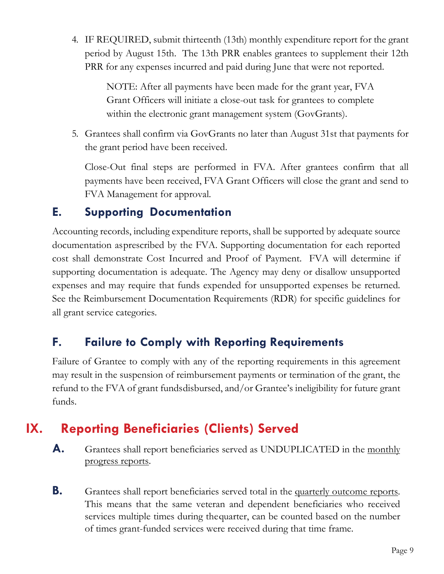4. IF REQUIRED, submit thirteenth (13th) monthly expenditure report for the grant period by August 15th. The 13th PRR enables grantees to supplement their 12th PRR for any expenses incurred and paid during June that were not reported.

> NOTE: After all payments have been made for the grant year, FVA Grant Officers will initiate a close-out task for grantees to complete within the electronic grant management system (GovGrants).

5. Grantees shall confirm via GovGrants no later than August 31st that payments for the grant period have been received.

Close-Out final steps are performed in FVA. After grantees confirm that all payments have been received, FVA Grant Officers will close the grant and send to FVA Management for approval.

#### <span id="page-8-0"></span>**E. Supporting Documentation**

Accounting records, including expenditure reports, shall be supported by adequate source documentation asprescribed by the FVA. Supporting documentation for each reported cost shall demonstrate Cost Incurred and Proof of Payment. FVA will determine if supporting documentation is adequate. The Agency may deny or disallow unsupported expenses and may require that funds expended for unsupported expenses be returned. See the Reimbursement Documentation Requirements (RDR) for specific guidelines for all grant service categories.

#### **F. Failure to Comply with Reporting Requirements**

Failure of Grantee to comply with any of the reporting requirements in this agreement may result in the suspension of reimbursement payments or termination of the grant, the refund to the FVA of grant fundsdisbursed, and/or Grantee's ineligibility for future grant funds.

# **IX. Reporting Beneficiaries (Clients) Served**

- **A.** Grantees shall report beneficiaries served as UNDUPLICATED in the monthly progress reports.
- **B.** Grantees shall report beneficiaries served total in the quarterly outcome reports. This means that the same veteran and dependent beneficiaries who received services multiple times during thequarter, can be counted based on the number of times grant-funded services were received during that time frame.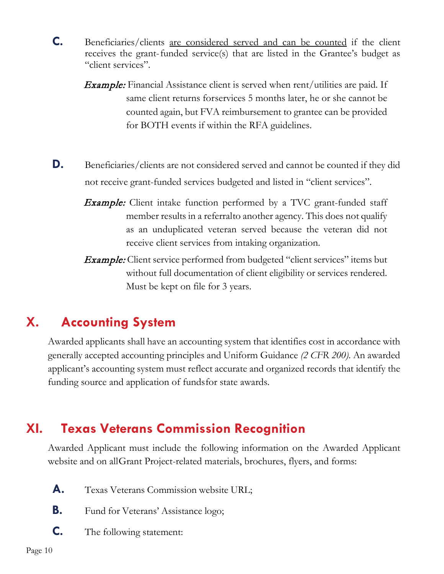- **C.** Beneficiaries/clients are considered served and can be counted if the client receives the grant-funded service(s) that are listed in the Grantee's budget as "client services".
	- **Example:** Financial Assistance client is served when rent/utilities are paid. If same client returns forservices 5 months later, he or she cannot be counted again, but FVA reimbursement to grantee can be provided for BOTH events if within the RFA guidelines.
- **D.** Beneficiaries/clients are not considered served and cannot be counted if they did not receive grant-funded services budgeted and listed in "client services".
	- **Example:** Client intake function performed by a TVC grant-funded staff member results in a referralto another agency. This does not qualify as an unduplicated veteran served because the veteran did not receive client services from intaking organization.
	- **Example:** Client service performed from budgeted "client services" items but without full documentation of client eligibility or services rendered. Must be kept on file for 3 years.

# <span id="page-9-0"></span>**X. Accounting System**

Awarded applicants shall have an accounting system that identifies cost in accordance with generally accepted accounting principles and Uniform Guidance *(2 CFR 200)*. An awarded applicant's accounting system must reflect accurate and organized records that identify the funding source and application of fundsfor state awards.

# **XI. Texas Veterans Commission Recognition**

Awarded Applicant must include the following information on the Awarded Applicant website and on allGrant Project-related materials, brochures, flyers, and forms:

- A. Texas Veterans Commission website URL;
- **B.** Fund for Veterans' Assistance logo;
- **C.** The following statement: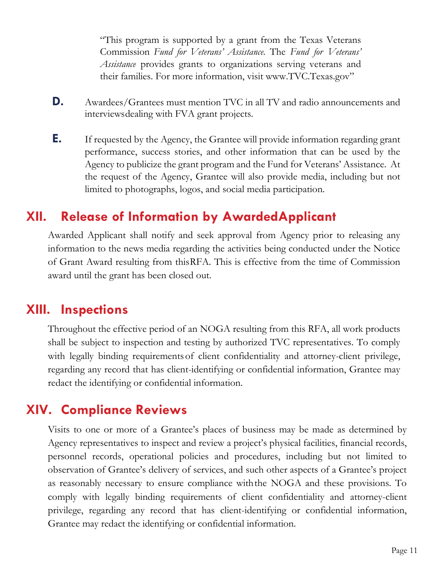"This program is supported by a grant from the Texas Veterans Commission *Fund for Veterans' Assistance*. The *Fund for Veterans' Assistance* provides grants to organizations serving veterans and their families. For more information, visit [www.TVC.Texas.gov"](http://www.tvc.texas.gov/)

- **D.** Awardees/Grantees must mention TVC in all TV and radio announcements and interviewsdealing with FVA grant projects.
- **E.** If requested by the Agency, the Grantee will provide information regarding grant performance, success stories, and other information that can be used by the Agency to publicize the grant program and the Fund for Veterans' Assistance. At the request of the Agency, Grantee will also provide media, including but not limited to photographs, logos, and social media participation.

#### **XII. Release of Information by AwardedApplicant**

Awarded Applicant shall notify and seek approval from Agency prior to releasing any information to the news media regarding the activities being conducted under the Notice of Grant Award resulting from thisRFA. This is effective from the time of Commission award until the grant has been closed out.

#### <span id="page-10-0"></span>**XIII. Inspections**

Throughout the effective period of an NOGA resulting from this RFA, all work products shall be subject to inspection and testing by authorized TVC representatives. To comply with legally binding requirements of client confidentiality and attorney-client privilege, regarding any record that has client-identifying or confidential information, Grantee may redact the identifying or confidential information.

#### **XIV. Compliance Reviews**

Visits to one or more of a Grantee's places of business may be made as determined by Agency representatives to inspect and review a project's physical facilities, financial records, personnel records, operational policies and procedures, including but not limited to observation of Grantee's delivery of services, and such other aspects of a Grantee's project as reasonably necessary to ensure compliance withthe NOGA and these provisions. To comply with legally binding requirements of client confidentiality and attorney-client privilege, regarding any record that has client-identifying or confidential information, Grantee may redact the identifying or confidential information.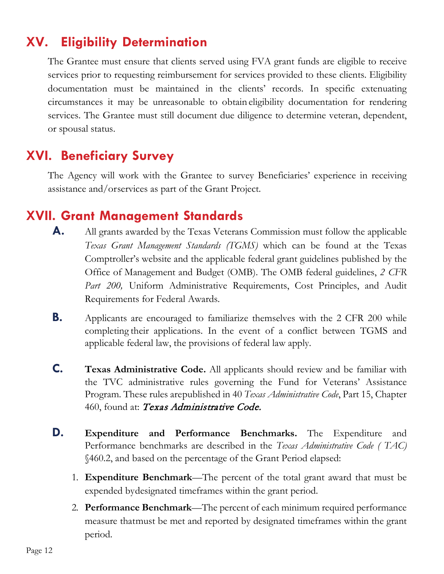# **XV. Eligibility Determination**

The Grantee must ensure that clients served using FVA grant funds are eligible to receive services prior to requesting reimbursement for services provided to these clients. Eligibility documentation must be maintained in the clients' records. In specific extenuating circumstances it may be unreasonable to obtain eligibility documentation for rendering services. The Grantee must still document due diligence to determine veteran, dependent, or spousal status.

# **XVI. Beneficiary Survey**

The Agency will work with the Grantee to survey Beneficiaries' experience in receiving assistance and/orservices as part of the Grant Project.

#### **XVII. Grant Management Standards**

- **A.** All grants awarded by the Texas Veterans Commission must follow the applicable *Texas Grant Management Standards (TGMS)* which can be found at the Texas Comptroller's website and the applicable federal grant guidelines published by the Office of Management and Budget (OMB). The OMB federal guidelines, *2 CFR Part 200,* Uniform Administrative Requirements, Cost Principles, and Audit Requirements for Federal Awards.
- <span id="page-11-0"></span>**B.** Applicants are encouraged to familiarize themselves with the 2 CFR 200 while completing their applications. In the event of a conflict between TGMS and applicable federal law, the provisions of federal law apply.
- **C. Texas Administrative Code.** All applicants should review and be familiar with the TVC administrative rules governing the Fund for Veterans' Assistance Program. These rules arepublished in 40 *Texas Administrative Code*, Part 15, Chapter 460, found at: *[Texas Administrative Code.](http://texreg.sos.state.tx.us/public/readtac%24ext.ViewTAC?tac_view=4&ti=40&pt=15&ch=460)*
- **D. Expenditure and Performance Benchmarks.** The Expenditure and Performance benchmarks are described in the *Texas Administrative Code ( TAC)*  §460.2, and based on the percentage of the Grant Period elapsed:
	- 1. **Expenditure Benchmark**—The percent of the total grant award that must be expended bydesignated timeframes within the grant period.
	- 2. **Performance Benchmark**—The percent of each minimum required performance measure thatmust be met and reported by designated timeframes within the grant period.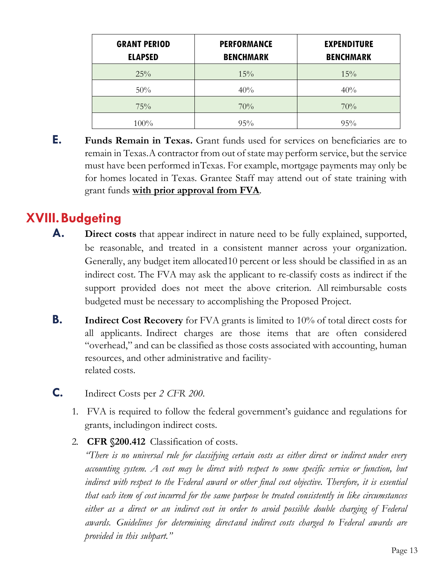| <b>GRANT PERIOD</b><br><b>ELAPSED</b> | <b>PERFORMANCE</b><br><b>BENCHMARK</b> | <b>EXPENDITURE</b><br><b>BENCHMARK</b> |
|---------------------------------------|----------------------------------------|----------------------------------------|
| 25%                                   | 15%                                    | 15%                                    |
| 50%                                   | 40%                                    | 40%                                    |
| 75%                                   | 70%                                    | 70%                                    |
| $100\%$                               | 95%                                    | 95%                                    |

**E. Funds Remain in Texas.** Grant funds used for services on beneficiaries are to remain in Texas. A contractor from out of state may perform service, but the service must have been performed inTexas. For example, mortgage payments may only be for homes located in Texas. Grantee Staff may attend out of state training with grant funds **with prior approval from FVA**.

# **XVIII.Budgeting**

- **A. Direct costs** that appear indirect in nature need to be fully explained, supported, be reasonable, and treated in a consistent manner across your organization. Generally, any budget item allocated10 percent or less should be classified in as an indirect cost. The FVA may ask the applicant to re-classify costs as indirect if the support provided does not meet the above criterion. All reimbursable costs budgeted must be necessary to accomplishing the Proposed Project.
- **B.** Indirect Cost Recovery for FVA grants is limited to 10% of total direct costs for all applicants. Indirect charges are those items that are often considered "overhead," and can be classified as those costs associated with accounting, human resources, and other administrative and facilityrelated costs.
- **C.** Indirect Costs per *2 CFR 200*.
	- 1. FVA is required to follow the federal government's guidance and regulations for grants, includingon indirect costs.
	- 2. **CFR §200.412** Classification of costs.

*"There is no universal rule for classifying certain costs as either direct or indirect under every accounting system. A cost may be direct with respect to some specific service or function, but indirect with respect to the Federal award or other final cost objective. Therefore, it is essential that each item of cost incurred for the same purpose be treated consistently in like circumstances either as a direct or an indirect cost in order to avoid possible double charging of Federal awards. Guidelines for determining directand indirect costs charged to Federal awards are provided in this subpart."*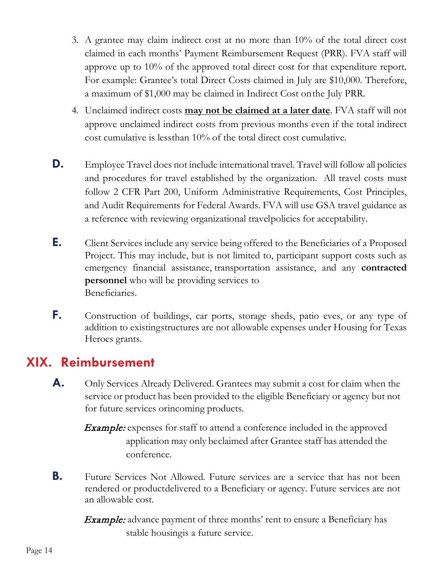- 3. A grantee may claim indirect cost at no more than 10% of the total direct cost claimed in each months' Payment Reimbursement Request (PRR). FVA staff will approve up to 10% of the approved total direct cost for that expenditure report. For example: Grantee's total Direct Costs claimed in July are \$10,000. Therefore, a maximum of \$1,000 may be claimed in Indirect Cost onthe July PRR.
- 4. Unclaimed indirect costs **may not be claimed at a later date**. FVA staff will not approve unclaimed indirect costs from previous months even if the total indirect cost cumulative is lessthan 10% of the total direct cost cumulative.
- **D.** Employee Travel does not include international travel. Travel will follow all policies and procedures for travel established by the organization. All travel costs must follow 2 CFR Part 200, Uniform Administrative Requirements, Cost Principles, and Audit Requirements for Federal Awards. FVA will use GSA travel guidance as a reference with reviewing organizational travelpolicies for acceptability.
- **E.** Client Services include any service being offered to the Beneficiaries of a Proposed Project. This may include, but is not limited to, participant support costs such as emergency financial assistance, transportation assistance, and any **contracted personnel** who will be providing services to Beneficiaries.
- **F.** Construction of buildings, car ports, storage sheds, patio eves, or any type of addition to existingstructures are not allowable expenses under Housing for Texas Heroes grants.

#### <span id="page-13-0"></span>**XIX. Reimbursement**

- **A.** Only Services Already Delivered. Grantees may submit a cost for claim when the service or product has been provided to the eligible Beneficiary or agency but not for future services orincoming products.
	- Example: expenses for staff to attend a conference included in the approved application may only beclaimed after Grantee staff has attended the conference.
- **B.** Future Services Not Allowed. Future services are a service that has not been rendered or productdelivered to a Beneficiary or agency. Future services are not an allowable cost.

**Example:** advance payment of three months' rent to ensure a Beneficiary has stable housingis a future service.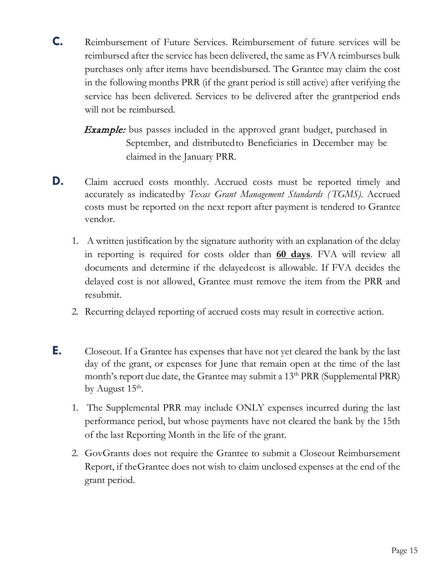**C.** Reimbursement of Future Services. Reimbursement of future services will be reimbursed after the service has been delivered, the same as FVA reimburses bulk purchases only after items have beendisbursed. The Grantee may claim the cost in the following months PRR (if the grant period is still active) after verifying the service has been delivered. Services to be delivered after the grantperiod ends will not be reimbursed.

**Example:** bus passes included in the approved grant budget, purchased in September, and distributedto Beneficiaries in December may be claimed in the January PRR.

- **D.** Claim accrued costs monthly. Accrued costs must be reported timely and accurately as indicatedby *Texas Grant Management Standards ( TGMS)*. Accrued costs must be reported on the next report after payment is tendered to Grantee vendor.
	- 1. A written justification by the signature authority with an explanation of the delay in reporting is required for costs older than **60 days**. FVA will review all documents and determine if the delayedcost is allowable. If FVA decides the delayed cost is not allowed, Grantee must remove the item from the PRR and resubmit.
	- 2. Recurring delayed reporting of accrued costs may result in corrective action.
- <span id="page-14-0"></span>**E.** Closeout. If a Grantee has expenses that have not yet cleared the bank by the last day of the grant, or expenses for June that remain open at the time of the last month's report due date, the Grantee may submit a 13<sup>th</sup> PRR (Supplemental PRR) by August  $15^{\text{th}}$ .
	- 1. The Supplemental PRR may include ONLY expenses incurred during the last performance period, but whose payments have not cleared the bank by the 15th of the last Reporting Month in the life of the grant.
	- 2. GovGrants does not require the Grantee to submit a Closeout Reimbursement Report, if theGrantee does not wish to claim unclosed expenses at the end of the grant period.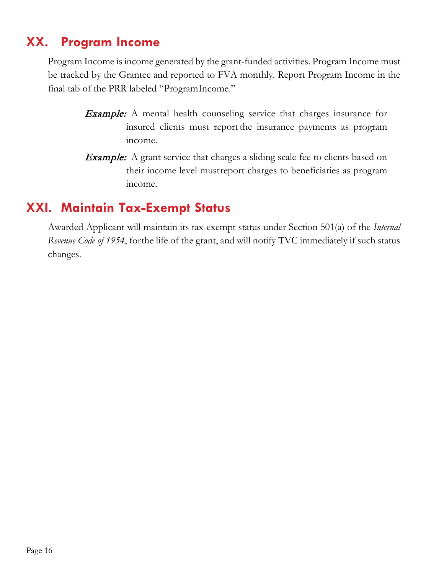# **XX. Program Income**

Program Income is income generated by the grant-funded activities. Program Income must be tracked by the Grantee and reported to FVA monthly. Report Program Income in the final tab of the PRR labeled "ProgramIncome."

- Example: A mental health counseling service that charges insurance for insured clients must report the insurance payments as program income.
- **Example:** A grant service that charges a sliding scale fee to clients based on their income level mustreport charges to beneficiaries as program income.

# **XXI. Maintain Tax-Exempt Status**

Awarded Applicant will maintain its tax-exempt status under Section 501(a) of the *Internal Revenue Code of 1954*, forthe life of the grant, and will notify TVC immediately if such status changes.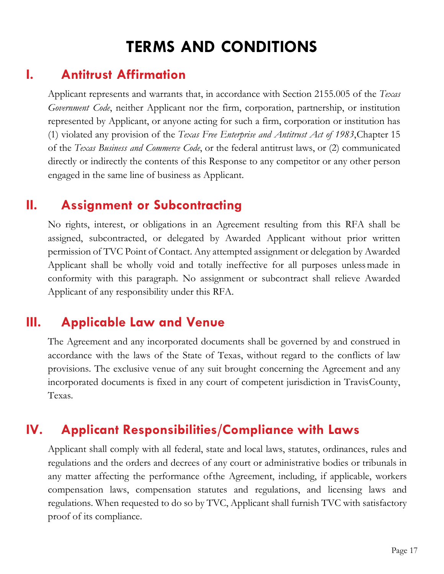# **TERMS AND CONDITIONS**

#### <span id="page-16-0"></span>**I. Antitrust Affirmation**

Applicant represents and warrants that, in accordance with Section 2155.005 of the *Texas Government Code*, neither Applicant nor the firm, corporation, partnership, or institution represented by Applicant, or anyone acting for such a firm, corporation or institution has (1) violated any provision of the *Texas Free Enterprise and Antitrust Act of 1983*,Chapter 15 of the *Texas Business and Commerce Code*, or the federal antitrust laws, or (2) communicated directly or indirectly the contents of this Response to any competitor or any other person engaged in the same line of business as Applicant.

#### **II. Assignment or Subcontracting**

No rights, interest, or obligations in an Agreement resulting from this RFA shall be assigned, subcontracted, or delegated by Awarded Applicant without prior written permission of TVC Point of Contact. Any attempted assignment or delegation by Awarded Applicant shall be wholly void and totally ineffective for all purposes unlessmade in conformity with this paragraph. No assignment or subcontract shall relieve Awarded Applicant of any responsibility under this RFA.

#### **III. Applicable Law and Venue**

The Agreement and any incorporated documents shall be governed by and construed in accordance with the laws of the State of Texas, without regard to the conflicts of law provisions. The exclusive venue of any suit brought concerning the Agreement and any incorporated documents is fixed in any court of competent jurisdiction in TravisCounty, Texas.

#### **IV. Applicant Responsibilities/Compliance with Laws**

Applicant shall comply with all federal, state and local laws, statutes, ordinances, rules and regulations and the orders and decrees of any court or administrative bodies or tribunals in any matter affecting the performance ofthe Agreement, including, if applicable, workers compensation laws, compensation statutes and regulations, and licensing laws and regulations. When requested to do so by TVC, Applicant shall furnish TVC with satisfactory proof of its compliance.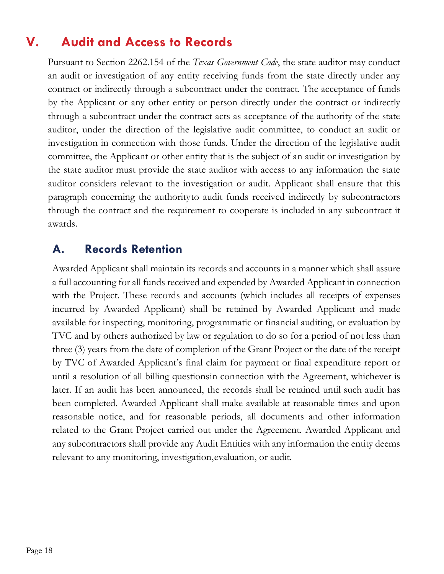# **V. Audit and Access to Records**

<span id="page-17-0"></span>Pursuant to Section 2262.154 of the *Texas Government Code*, the state auditor may conduct an audit or investigation of any entity receiving funds from the state directly under any contract or indirectly through a subcontract under the contract. The acceptance of funds by the Applicant or any other entity or person directly under the contract or indirectly through a subcontract under the contract acts as acceptance of the authority of the state auditor, under the direction of the legislative audit committee, to conduct an audit or investigation in connection with those funds. Under the direction of the legislative audit committee, the Applicant or other entity that is the subject of an audit or investigation by the state auditor must provide the state auditor with access to any information the state auditor considers relevant to the investigation or audit. Applicant shall ensure that this paragraph concerning the authorityto audit funds received indirectly by subcontractors through the contract and the requirement to cooperate is included in any subcontract it awards.

#### **A. Records Retention**

Awarded Applicant shall maintain its records and accounts in a manner which shall assure a full accounting for all funds received and expended by Awarded Applicant in connection with the Project. These records and accounts (which includes all receipts of expenses incurred by Awarded Applicant) shall be retained by Awarded Applicant and made available for inspecting, monitoring, programmatic or financial auditing, or evaluation by TVC and by others authorized by law or regulation to do so for a period of not less than three (3) years from the date of completion of the Grant Project or the date of the receipt by TVC of Awarded Applicant's final claim for payment or final expenditure report or until a resolution of all billing questionsin connection with the Agreement, whichever is later. If an audit has been announced, the records shall be retained until such audit has been completed. Awarded Applicant shall make available at reasonable times and upon reasonable notice, and for reasonable periods, all documents and other information related to the Grant Project carried out under the Agreement. Awarded Applicant and any subcontractors shall provide any Audit Entities with any information the entity deems relevant to any monitoring, investigation,evaluation, or audit.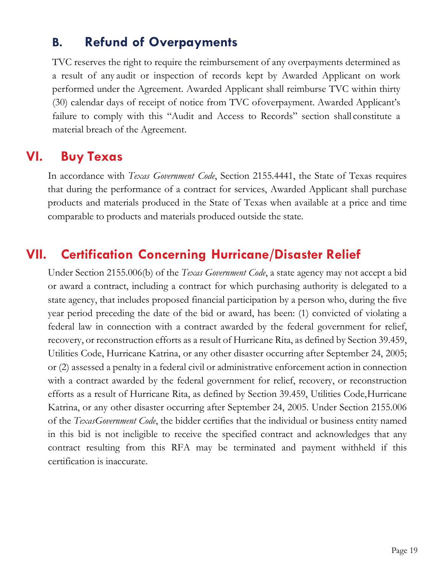#### **B. Refund of Overpayments**

TVC reserves the right to require the reimbursement of any overpayments determined as a result of any audit or inspection of records kept by Awarded Applicant on work performed under the Agreement. Awarded Applicant shall reimburse TVC within thirty (30) calendar days of receipt of notice from TVC ofoverpayment. Awarded Applicant's failure to comply with this "Audit and Access to Records" section shall constitute a material breach of the Agreement.

#### **VI. Buy Texas**

In accordance with *Texas Government Code*, Section 2155.4441, the State of Texas requires that during the performance of a contract for services, Awarded Applicant shall purchase products and materials produced in the State of Texas when available at a price and time comparable to products and materials produced outside the state.

### <span id="page-18-0"></span>**VII. Certification Concerning Hurricane/Disaster Relief**

Under Section 2155.006(b) of the *Texas Government Code*, a state agency may not accept a bid or award a contract, including a contract for which purchasing authority is delegated to a state agency, that includes proposed financial participation by a person who, during the five year period preceding the date of the bid or award, has been: (1) convicted of violating a federal law in connection with a contract awarded by the federal government for relief, recovery, or reconstruction efforts as a result of Hurricane Rita, as defined by Section 39.459, Utilities Code, Hurricane Katrina, or any other disaster occurring after September 24, 2005; or (2) assessed a penalty in a federal civil or administrative enforcement action in connection with a contract awarded by the federal government for relief, recovery, or reconstruction efforts as a result of Hurricane Rita, as defined by Section 39.459, Utilities Code,Hurricane Katrina, or any other disaster occurring after September 24, 2005. Under Section 2155.006 of the *TexasGovernment Code*, the bidder certifies that the individual or business entity named in this bid is not ineligible to receive the specified contract and acknowledges that any contract resulting from this RFA may be terminated and payment withheld if this certification is inaccurate.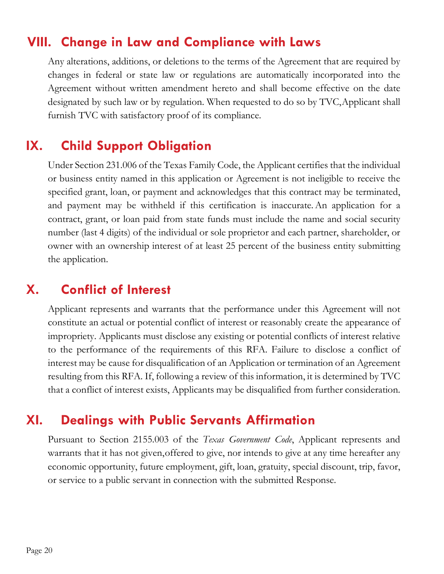#### **VIII. Change in Law and Compliance with Laws**

Any alterations, additions, or deletions to the terms of the Agreement that are required by changes in federal or state law or regulations are automatically incorporated into the Agreement without written amendment hereto and shall become effective on the date designated by such law or by regulation. When requested to do so by TVC,Applicant shall furnish TVC with satisfactory proof of its compliance.

# **IX. Child Support Obligation**

Under Section 231.006 of the Texas Family Code, the Applicant certifies that the individual or business entity named in this application or Agreement is not ineligible to receive the specified grant, loan, or payment and acknowledges that this contract may be terminated, and payment may be withheld if this certification is inaccurate.An application for a contract, grant, or loan paid from state funds must include the name and social security number (last 4 digits) of the individual or sole proprietor and each partner, shareholder, or owner with an ownership interest of at least 25 percent of the business entity submitting the application.

## **X. Conflict of Interest**

<span id="page-19-0"></span>Applicant represents and warrants that the performance under this Agreement will not constitute an actual or potential conflict of interest or reasonably create the appearance of impropriety. Applicants must disclose any existing or potential conflicts of interest relative to the performance of the requirements of this RFA. Failure to disclose a conflict of interest may be cause for disqualification of an Application or termination of an Agreement resulting from this RFA. If, following a review of this information, it is determined by TVC that a conflict of interest exists, Applicants may be disqualified from further consideration.

#### **XI. Dealings with Public Servants Affirmation**

Pursuant to Section 2155.003 of the *Texas Government Code*, Applicant represents and warrants that it has not given, offered to give, nor intends to give at any time hereafter any economic opportunity, future employment, gift, loan, gratuity, special discount, trip, favor, or service to a public servant in connection with the submitted Response.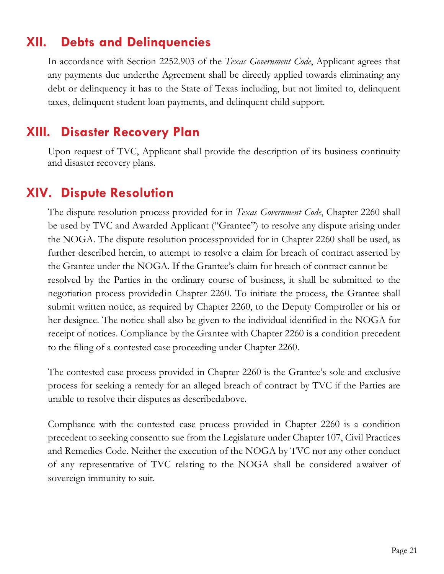# **XII. Debts and Delinquencies**

In accordance with Section 2252.903 of the *Texas Government Code*, Applicant agrees that any payments due underthe Agreement shall be directly applied towards eliminating any debt or delinquency it has to the State of Texas including, but not limited to, delinquent taxes, delinquent student loan payments, and delinquent child support.

#### **XIII. Disaster Recovery Plan**

Upon request of TVC, Applicant shall provide the description of its business continuity and disaster recovery plans.

# **XIV. Dispute Resolution**

The dispute resolution process provided for in *Texas Government Code*, Chapter 2260 shall be used by TVC and Awarded Applicant ("Grantee") to resolve any dispute arising under the NOGA. The dispute resolution processprovided for in Chapter 2260 shall be used, as further described herein, to attempt to resolve a claim for breach of contract asserted by the Grantee under the NOGA. If the Grantee's claim for breach of contract cannot be resolved by the Parties in the ordinary course of business, it shall be submitted to the negotiation process providedin Chapter 2260. To initiate the process, the Grantee shall submit written notice, as required by Chapter 2260, to the Deputy Comptroller or his or her designee. The notice shall also be given to the individual identified in the NOGA for receipt of notices. Compliance by the Grantee with Chapter 2260 is a condition precedent to the filing of a contested case proceeding under Chapter 2260.

The contested case process provided in Chapter 2260 is the Grantee's sole and exclusive process for seeking a remedy for an alleged breach of contract by TVC if the Parties are unable to resolve their disputes as describedabove.

Compliance with the contested case process provided in Chapter 2260 is a condition precedent to seeking consentto sue from the Legislature under Chapter 107, Civil Practices and Remedies Code. Neither the execution of the NOGA by TVC nor any other conduct of any representative of TVC relating to the NOGA shall be considered awaiver of sovereign immunity to suit.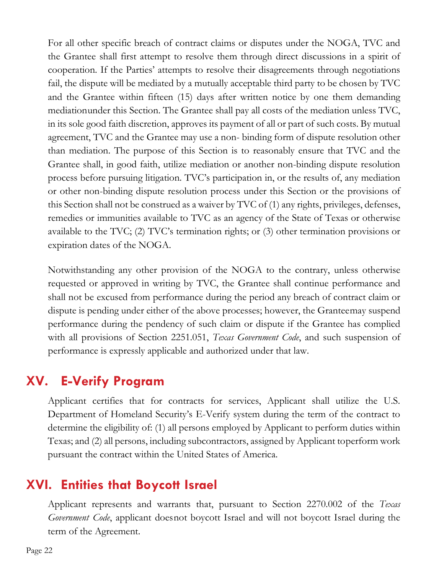<span id="page-21-0"></span>For all other specific breach of contract claims or disputes under the NOGA, TVC and the Grantee shall first attempt to resolve them through direct discussions in a spirit of cooperation. If the Parties' attempts to resolve their disagreements through negotiations fail, the dispute will be mediated by a mutually acceptable third party to be chosen by TVC and the Grantee within fifteen (15) days after written notice by one them demanding mediationunder this Section. The Grantee shall pay all costs of the mediation unless TVC, in its sole good faith discretion, approves its payment of all or part of such costs. By mutual agreement, TVC and the Grantee may use a non- binding form of dispute resolution other than mediation. The purpose of this Section is to reasonably ensure that TVC and the Grantee shall, in good faith, utilize mediation or another non-binding dispute resolution process before pursuing litigation. TVC's participation in, or the results of, any mediation or other non-binding dispute resolution process under this Section or the provisions of this Section shall not be construed as a waiver by TVC of (1) any rights, privileges, defenses, remedies or immunities available to TVC as an agency of the State of Texas or otherwise available to the TVC; (2) TVC's termination rights; or (3) other termination provisions or expiration dates of the NOGA.

Notwithstanding any other provision of the NOGA to the contrary, unless otherwise requested or approved in writing by TVC, the Grantee shall continue performance and shall not be excused from performance during the period any breach of contract claim or dispute is pending under either of the above processes; however, the Granteemay suspend performance during the pendency of such claim or dispute if the Grantee has complied with all provisions of Section 2251.051, *Texas Government Code*, and such suspension of performance is expressly applicable and authorized under that law.

# **XV. E-Verify Program**

Applicant certifies that for contracts for services, Applicant shall utilize the U.S. Department of Homeland Security's E-Verify system during the term of the contract to determine the eligibility of: (1) all persons employed by Applicant to perform duties within Texas; and (2) all persons, including subcontractors, assigned by Applicant toperform work pursuant the contract within the United States of America.

#### **XVI. Entities that Boycott Israel**

Applicant represents and warrants that, pursuant to Section 2270.002 of the *Texas Government Code*, applicant doesnot boycott Israel and will not boycott Israel during the term of the Agreement.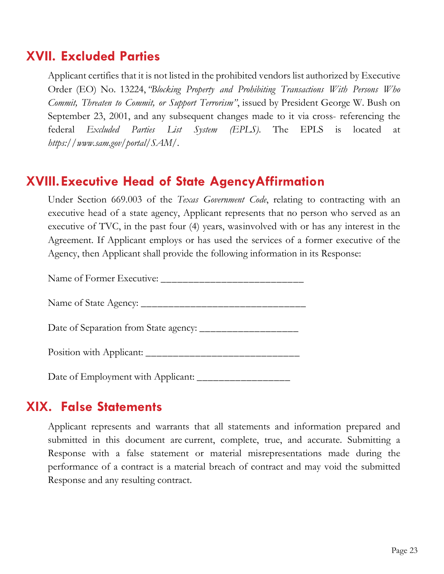#### **XVII. Excluded Parties**

Applicant certifies that it is not listed in the prohibited vendors list authorized by Executive Order (EO) No. 13224,*"Blocking Property and Prohibiting Transactions With Persons Who Commit, Threaten to Commit, or Support Terrorism"*, issued by President George W. Bush on September 23, 2001, and any subsequent changes made to it via cross- referencing the federal *Excluded Parties List System (EPLS)*. The EPLS is located at *https:/[/www.sam.gov/portal/S](http://www.sam.gov/portal/)AM/*.

#### <span id="page-22-0"></span>**XVIII.Executive Head of State AgencyAffirmation**

Under Section 669.003 of the *Texas Government Code*, relating to contracting with an executive head of a state agency, Applicant represents that no person who served as an executive of TVC, in the past four (4) years, wasinvolved with or has any interest in the Agreement. If Applicant employs or has used the services of a former executive of the Agency, then Applicant shall provide the following information in its Response:

Name of Former Executive: \_\_\_\_\_\_\_\_\_\_\_\_\_\_\_\_\_\_\_\_\_\_\_\_\_\_

Name of State Agency: \_\_\_\_\_\_\_\_\_\_\_\_\_\_\_\_\_\_\_\_\_\_\_\_\_\_\_\_\_\_

Date of Separation from State agency: \_\_\_\_\_\_\_\_\_\_\_\_\_\_\_\_\_\_

Position with Applicant: \_\_\_\_\_\_\_\_\_\_\_\_\_\_\_\_\_\_\_\_\_\_\_\_\_\_\_\_

Date of Employment with Applicant: \_\_\_\_\_\_\_\_\_\_\_\_\_\_\_\_\_

#### **XIX. False Statements**

Applicant represents and warrants that all statements and information prepared and submitted in this document are current, complete, true, and accurate. Submitting a Response with a false statement or material misrepresentations made during the performance of a contract is a material breach of contract and may void the submitted Response and any resulting contract.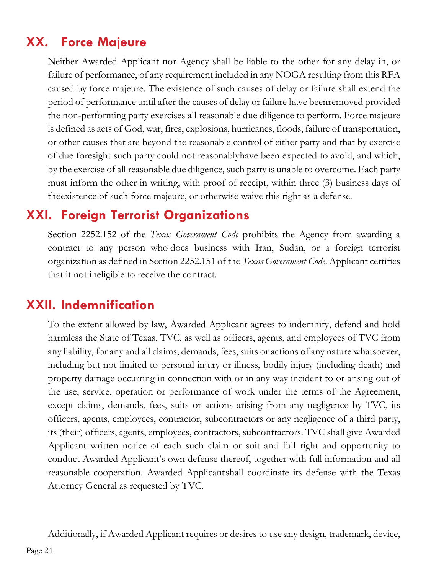# **XX. Force Majeure**

Neither Awarded Applicant nor Agency shall be liable to the other for any delay in, or failure of performance, of any requirement included in any NOGA resulting from this RFA caused by force majeure. The existence of such causes of delay or failure shall extend the period of performance until after the causes of delay or failure have beenremoved provided the non-performing party exercises all reasonable due diligence to perform. Force majeure is defined as acts of God, war, fires, explosions, hurricanes, floods, failure of transportation, or other causes that are beyond the reasonable control of either party and that by exercise of due foresight such party could not reasonablyhave been expected to avoid, and which, by the exercise of all reasonable due diligence, such party is unable to overcome. Each party must inform the other in writing, with proof of receipt, within three (3) business days of theexistence of such force majeure, or otherwise waive this right as a defense.

# <span id="page-23-0"></span>**XXI. Foreign Terrorist Organizations**

Section 2252.152 of the *Texas Government Code* prohibits the Agency from awarding a contract to any person who does business with Iran, Sudan, or a foreign terrorist organization as defined in Section 2252.151 of the *Texas Government Code*. Applicant certifies that it not ineligible to receive the contract.

# **XXII. Indemnification**

To the extent allowed by law, Awarded Applicant agrees to indemnify, defend and hold harmless the State of Texas, TVC, as well as officers, agents, and employees of TVC from any liability, for any and all claims, demands, fees, suits or actions of any nature whatsoever, including but not limited to personal injury or illness, bodily injury (including death) and property damage occurring in connection with or in any way incident to or arising out of the use, service, operation or performance of work under the terms of the Agreement, except claims, demands, fees, suits or actions arising from any negligence by TVC, its officers, agents, employees, contractor, subcontractors or any negligence of a third party, its (their) officers, agents, employees, contractors, subcontractors. TVC shall give Awarded Applicant written notice of each such claim or suit and full right and opportunity to conduct Awarded Applicant's own defense thereof, together with full information and all reasonable cooperation. Awarded Applicantshall coordinate its defense with the Texas Attorney General as requested by TVC.

Additionally, if Awarded Applicant requires or desires to use any design, trademark, device,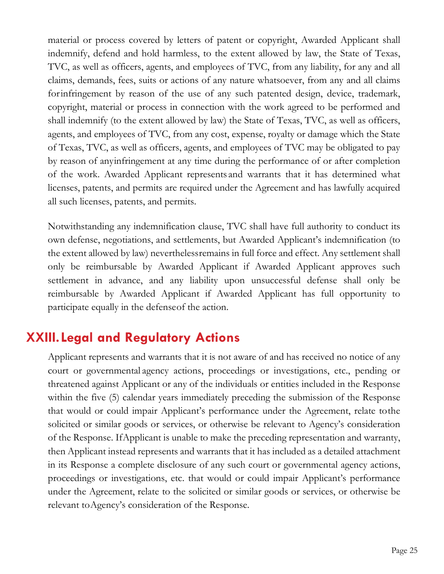material or process covered by letters of patent or copyright, Awarded Applicant shall indemnify, defend and hold harmless, to the extent allowed by law, the State of Texas, TVC, as well as officers, agents, and employees of TVC, from any liability, for any and all claims, demands, fees, suits or actions of any nature whatsoever, from any and all claims forinfringement by reason of the use of any such patented design, device, trademark, copyright, material or process in connection with the work agreed to be performed and shall indemnify (to the extent allowed by law) the State of Texas, TVC, as well as officers, agents, and employees of TVC, from any cost, expense, royalty or damage which the State of Texas, TVC, as well as officers, agents, and employees of TVC may be obligated to pay by reason of anyinfringement at any time during the performance of or after completion of the work. Awarded Applicant represents and warrants that it has determined what licenses, patents, and permits are required under the Agreement and has lawfully acquired all such licenses, patents, and permits.

Notwithstanding any indemnification clause, TVC shall have full authority to conduct its own defense, negotiations, and settlements, but Awarded Applicant's indemnification (to the extent allowed by law) neverthelessremains in full force and effect. Any settlement shall only be reimbursable by Awarded Applicant if Awarded Applicant approves such settlement in advance, and any liability upon unsuccessful defense shall only be reimbursable by Awarded Applicant if Awarded Applicant has full opportunity to participate equally in the defenseof the action.

# **XXIII.Legal and Regulatory Actions**

<span id="page-24-0"></span>Applicant represents and warrants that it is not aware of and has received no notice of any court or governmental agency actions, proceedings or investigations, etc., pending or threatened against Applicant or any of the individuals or entities included in the Response within the five (5) calendar years immediately preceding the submission of the Response that would or could impair Applicant's performance under the Agreement, relate tothe solicited or similar goods or services, or otherwise be relevant to Agency's consideration of the Response. IfApplicant is unable to make the preceding representation and warranty, then Applicant instead represents and warrants that it has included as a detailed attachment in its Response a complete disclosure of any such court or governmental agency actions, proceedings or investigations, etc. that would or could impair Applicant's performance under the Agreement, relate to the solicited or similar goods or services, or otherwise be relevant toAgency's consideration of the Response.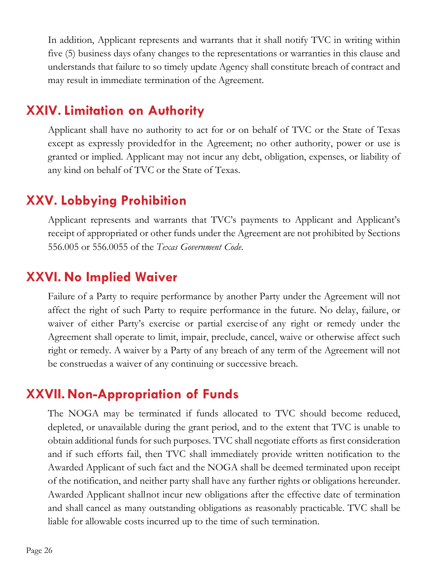In addition, Applicant represents and warrants that it shall notify TVC in writing within five (5) business days ofany changes to the representations or warranties in this clause and understands that failure to so timely update Agency shall constitute breach of contract and may result in immediate termination of the Agreement.

#### **XXIV. Limitation on Authority**

Applicant shall have no authority to act for or on behalf of TVC or the State of Texas except as expressly providedfor in the Agreement; no other authority, power or use is granted or implied. Applicant may not incur any debt, obligation, expenses, or liability of any kind on behalf of TVC or the State of Texas.

#### **XXV. Lobbying Prohibition**

Applicant represents and warrants that TVC's payments to Applicant and Applicant's receipt of appropriated or other funds under the Agreement are not prohibited by Sections 556.005 or 556.0055 of the *Texas Government Code*.

#### **XXVI. No Implied Waiver**

Failure of a Party to require performance by another Party under the Agreement will not affect the right of such Party to require performance in the future. No delay, failure, or waiver of either Party's exercise or partial exercise of any right or remedy under the Agreement shall operate to limit, impair, preclude, cancel, waive or otherwise affect such right or remedy. A waiver by a Party of any breach of any term of the Agreement will not be construedas a waiver of any continuing or successive breach.

#### **XXVII.Non-Appropriation of Funds**

The NOGA may be terminated if funds allocated to TVC should become reduced, depleted, or unavailable during the grant period, and to the extent that TVC is unable to obtain additional funds for such purposes. TVC shall negotiate efforts as first consideration and if such efforts fail, then TVC shall immediately provide written notification to the Awarded Applicant of such fact and the NOGA shall be deemed terminated upon receipt of the notification, and neither party shall have any further rights or obligations hereunder. Awarded Applicant shallnot incur new obligations after the effective date of termination and shall cancel as many outstanding obligations as reasonably practicable. TVC shall be liable for allowable costs incurred up to the time of such termination.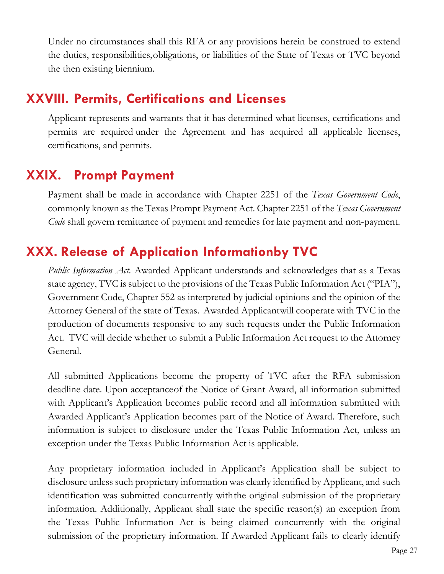<span id="page-26-0"></span>Under no circumstances shall this RFA or any provisions herein be construed to extend the duties, responsibilities,obligations, or liabilities of the State of Texas or TVC beyond the then existing biennium.

# **XXVIII. Permits, Certifications and Licenses**

Applicant represents and warrants that it has determined what licenses, certifications and permits are required under the Agreement and has acquired all applicable licenses, certifications, and permits.

# **XXIX. Prompt Payment**

Payment shall be made in accordance with Chapter 2251 of the *Texas Government Code*, commonly known as the Texas Prompt Payment Act. Chapter 2251 of the *Texas Government Code* shall govern remittance of payment and remedies for late payment and non-payment.

# **XXX. Release of Application Informationby TVC**

*Public Information Act.* Awarded Applicant understands and acknowledges that as a Texas state agency, TVC is subject to the provisions of the Texas Public Information Act ("PIA"), Government Code, Chapter 552 as interpreted by judicial opinions and the opinion of the Attorney General of the state of Texas. Awarded Applicantwill cooperate with TVC in the production of documents responsive to any such requests under the Public Information Act. TVC will decide whether to submit a Public Information Act request to the Attorney General.

All submitted Applications become the property of TVC after the RFA submission deadline date. Upon acceptanceof the Notice of Grant Award, all information submitted with Applicant's Application becomes public record and all information submitted with Awarded Applicant's Application becomes part of the Notice of Award. Therefore, such information is subject to disclosure under the Texas Public Information Act, unless an exception under the Texas Public Information Act is applicable.

Any proprietary information included in Applicant's Application shall be subject to disclosure unless such proprietary information was clearly identified by Applicant, and such identification was submitted concurrently withthe original submission of the proprietary information. Additionally, Applicant shall state the specific reason(s) an exception from the Texas Public Information Act is being claimed concurrently with the original submission of the proprietary information. If Awarded Applicant fails to clearly identify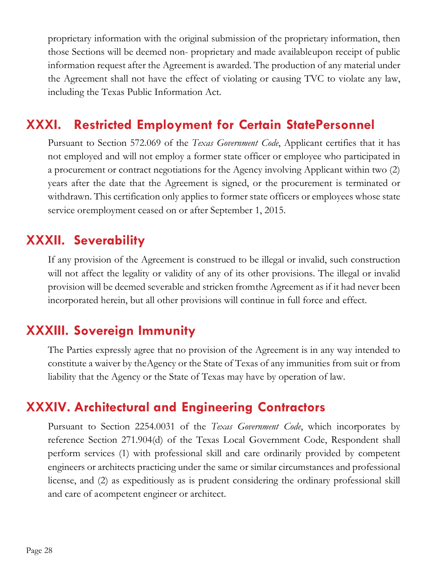proprietary information with the original submission of the proprietary information, then those Sections will be deemed non- proprietary and made availableupon receipt of public information request after the Agreement is awarded. The production of any material under the Agreement shall not have the effect of violating or causing TVC to violate any law, including the Texas Public Information Act.

# <span id="page-27-0"></span>**XXXI. Restricted Employment for Certain StatePersonnel**

Pursuant to Section 572.069 of the *Texas Government Code*, Applicant certifies that it has not employed and will not employ a former state officer or employee who participated in a procurement or contract negotiations for the Agency involving Applicant within two (2) years after the date that the Agreement is signed, or the procurement is terminated or withdrawn. This certification only applies to former state officers or employees whose state service oremployment ceased on or after September 1, 2015.

### **XXXII. Severability**

If any provision of the Agreement is construed to be illegal or invalid, such construction will not affect the legality or validity of any of its other provisions. The illegal or invalid provision will be deemed severable and stricken fromthe Agreement as if it had never been incorporated herein, but all other provisions will continue in full force and effect.

# **XXXIII. Sovereign Immunity**

The Parties expressly agree that no provision of the Agreement is in any way intended to constitute a waiver by theAgency or the State of Texas of any immunities from suit or from liability that the Agency or the State of Texas may have by operation of law.

# **XXXIV. Architectural and Engineering Contractors**

Pursuant to Section 2254.0031 of the *Texas Government Code*, which incorporates by reference Section 271.904(d) of the Texas Local Government Code, Respondent shall perform services (1) with professional skill and care ordinarily provided by competent engineers or architects practicing under the same or similar circumstances and professional license, and (2) as expeditiously as is prudent considering the ordinary professional skill and care of acompetent engineer or architect.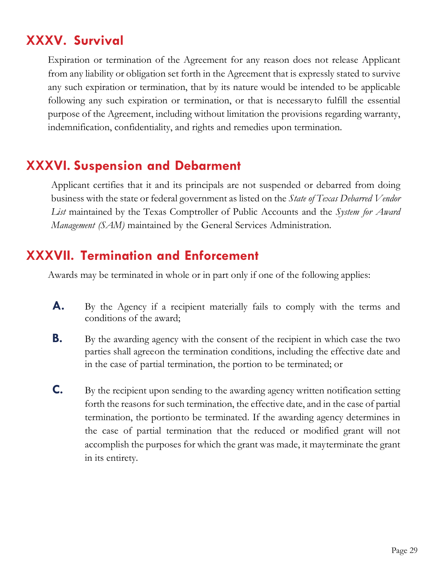# **XXXV. Survival**

Expiration or termination of the Agreement for any reason does not release Applicant from any liability or obligation set forth in the Agreement that is expressly stated to survive any such expiration or termination, that by its nature would be intended to be applicable following any such expiration or termination, or that is necessaryto fulfill the essential purpose of the Agreement, including without limitation the provisions regarding warranty, indemnification, confidentiality, and rights and remedies upon termination.

# <span id="page-28-0"></span>**XXXVI. Suspension and Debarment**

Applicant certifies that it and its principals are not suspended or debarred from doing business with the state or federal government as listed on the *State of Texas Debarred Vendor List* maintained by the Texas Comptroller of Public Accounts and the *System for Award Management (SAM)* maintained by the General Services Administration.

#### **XXXVII. Termination and Enforcement**

Awards may be terminated in whole or in part only if one of the following applies:

- **A.** By the Agency if a recipient materially fails to comply with the terms and conditions of the award;
- **B.** By the awarding agency with the consent of the recipient in which case the two parties shall agreeon the termination conditions, including the effective date and in the case of partial termination, the portion to be terminated; or
- **C.** By the recipient upon sending to the awarding agency written notification setting forth the reasons for such termination, the effective date, and in the case of partial termination, the portionto be terminated. If the awarding agency determines in the case of partial termination that the reduced or modified grant will not accomplish the purposes for which the grant was made, it mayterminate the grant in its entirety.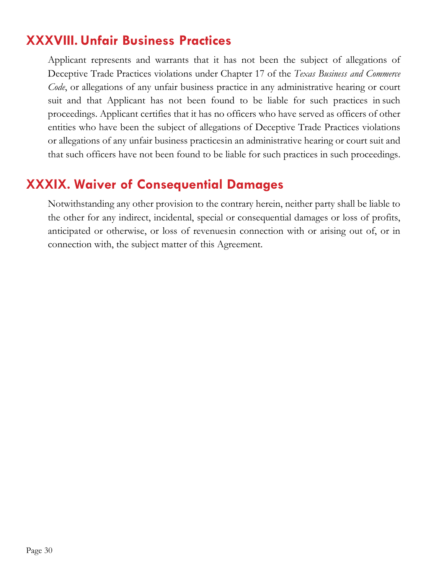## **XXXVIII. Unfair Business Practices**

Applicant represents and warrants that it has not been the subject of allegations of Deceptive Trade Practices violations under Chapter 17 of the *Texas Business and Commerce Code*, or allegations of any unfair business practice in any administrative hearing or court suit and that Applicant has not been found to be liable for such practices in such proceedings. Applicant certifies that it has no officers who have served as officers of other entities who have been the subject of allegations of Deceptive Trade Practices violations or allegations of any unfair business practicesin an administrative hearing or court suit and that such officers have not been found to be liable for such practices in such proceedings.

#### **XXXIX. Waiver of Consequential Damages**

Notwithstanding any other provision to the contrary herein, neither party shall be liable to the other for any indirect, incidental, special or consequential damages or loss of profits, anticipated or otherwise, or loss of revenuesin connection with or arising out of, or in connection with, the subject matter of this Agreement.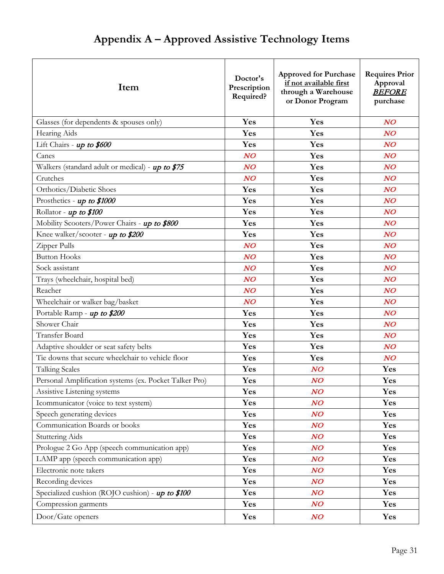# **Appendix A – Approved Assistive Technology Items**

| Item                                                   | Doctor's<br>Prescription<br>Required? | <b>Approved for Purchase</b><br>if not available first<br>through a Warehouse<br>or Donor Program | <b>Requires Prior</b><br>Approval<br><b>BEFORE</b><br>purchase |  |
|--------------------------------------------------------|---------------------------------------|---------------------------------------------------------------------------------------------------|----------------------------------------------------------------|--|
| Glasses (for dependents & spouses only)                | Yes                                   | Yes                                                                                               | NO                                                             |  |
| Hearing Aids                                           | Yes                                   | Yes                                                                                               | NO                                                             |  |
| Lift Chairs - up to \$600                              | Yes                                   | Yes                                                                                               | NO                                                             |  |
| Canes                                                  | $N$ O                                 | Yes                                                                                               | NO                                                             |  |
| Walkers (standard adult or medical) - up to \$75       | $N$ O                                 | Yes                                                                                               | NO                                                             |  |
| Crutches                                               | $N$ O                                 | Yes                                                                                               | NO                                                             |  |
| Orthotics/Diabetic Shoes                               | Yes                                   | Yes                                                                                               | NO                                                             |  |
| Prosthetics - up to \$1000                             | Yes                                   | Yes                                                                                               | NO                                                             |  |
| Rollator - up to \$100                                 | Yes                                   | Yes                                                                                               | NO                                                             |  |
| Mobility Scooters/Power Chairs - up to \$800           | Yes                                   | Yes                                                                                               | NO                                                             |  |
| Knee walker/scooter - up to \$200                      | Yes                                   | Yes                                                                                               | NO                                                             |  |
| Zipper Pulls                                           | $N$ O                                 | Yes                                                                                               | NO                                                             |  |
| <b>Button Hooks</b>                                    | $N$ O                                 | Yes                                                                                               | NO                                                             |  |
| Sock assistant                                         | NO                                    | Yes                                                                                               | NO                                                             |  |
| Trays (wheelchair, hospital bed)                       | $N$ O                                 | Yes                                                                                               | NO                                                             |  |
| Reacher                                                | $N$ O                                 | Yes                                                                                               | NO                                                             |  |
| Wheelchair or walker bag/basket                        | $N$ O                                 | Yes                                                                                               | NO                                                             |  |
| Portable Ramp - up to \$200                            | Yes                                   | Yes                                                                                               | NO                                                             |  |
| Shower Chair                                           | Yes                                   | Yes                                                                                               | NO                                                             |  |
| <b>Transfer Board</b>                                  | Yes                                   | Yes                                                                                               | NO                                                             |  |
| Adaptive shoulder or seat safety belts                 | Yes                                   | Yes                                                                                               | NO                                                             |  |
| Tie downs that secure wheelchair to vehicle floor      | Yes                                   | Yes                                                                                               | NO                                                             |  |
| <b>Talking Scales</b>                                  | Yes                                   | N O                                                                                               | Yes                                                            |  |
| Personal Amplification systems (ex. Pocket Talker Pro) | Yes                                   | $N$ O                                                                                             | Yes                                                            |  |
| Assistive Listening systems                            | Yes                                   | $N$ O                                                                                             | Yes                                                            |  |
| Icommunicator (voice to text system)                   | Yes                                   | NO                                                                                                | Yes                                                            |  |
| Speech generating devices                              | Yes                                   | $N$ O                                                                                             | Yes                                                            |  |
| Communication Boards or books                          | Yes                                   | $N$ O                                                                                             | Yes                                                            |  |
| <b>Stuttering Aids</b>                                 | Yes                                   | NO                                                                                                | Yes                                                            |  |
| Prologue 2 Go App (speech communication app)           | Yes                                   | $N$ O                                                                                             | Yes                                                            |  |
| LAMP app (speech communication app)                    | Yes                                   | $N$ O                                                                                             | Yes                                                            |  |
| Electronic note takers                                 | Yes                                   | NO                                                                                                | Yes                                                            |  |
| Recording devices                                      | Yes                                   | NO                                                                                                | Yes                                                            |  |
| Specialized cushion (ROJO cushion) - up to \$100       | Yes                                   | $N$ O                                                                                             | Yes                                                            |  |
| Compression garments                                   | Yes                                   | NO                                                                                                | Yes                                                            |  |
| Door/Gate openers                                      | Yes                                   | NO                                                                                                | Yes                                                            |  |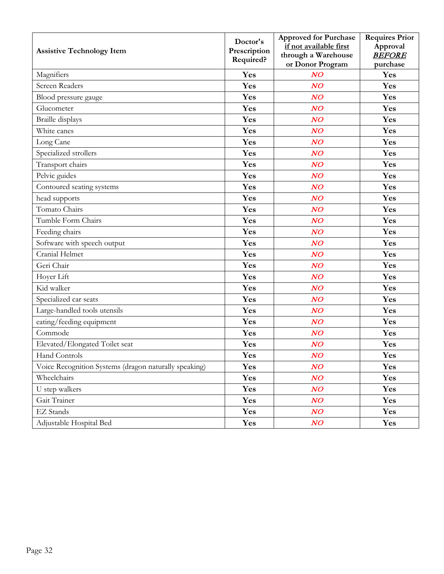|                                                       | Doctor's     | <b>Approved for Purchase</b>                  | <b>Requires Prior</b>     |
|-------------------------------------------------------|--------------|-----------------------------------------------|---------------------------|
| <b>Assistive Technology Item</b>                      | Prescription | if not available first<br>through a Warehouse | Approval<br><b>BEFORE</b> |
|                                                       | Required?    | or Donor Program                              | purchase                  |
| Magnifiers                                            | Yes          | $N$ O                                         | Yes                       |
| <b>Screen Readers</b>                                 | Yes          | $N$ O                                         | Yes                       |
| Blood pressure gauge                                  | Yes          | $N$ O                                         | Yes                       |
| Glucometer                                            | Yes          | $N$ O                                         | Yes                       |
| Braille displays                                      | Yes          | NO                                            | Yes                       |
| White canes                                           | Yes          | $N$ O                                         | Yes                       |
| Long Cane                                             | Yes          | $N$ O                                         | Yes                       |
| Specialized strollers                                 | Yes          | NO                                            | Yes                       |
| Transport chairs                                      | Yes          | $N$ O                                         | Yes                       |
| Pelvic guides                                         | Yes          | $N$ O                                         | Yes                       |
| Contoured seating systems                             | Yes          | $N$ O                                         | Yes                       |
| head supports                                         | Yes          | NO                                            | Yes                       |
| Tomato Chairs                                         | Yes          | $N$ O                                         | Yes                       |
| Tumble Form Chairs                                    | Yes          | NO                                            | Yes                       |
| Feeding chairs                                        | Yes          | $N$ O                                         | Yes                       |
| Software with speech output                           | Yes          | $N$ O                                         | Yes                       |
| Cranial Helmet                                        | Yes          | NO                                            | Yes                       |
| Geri Chair                                            | Yes          | NO                                            | Yes                       |
| Hoyer Lift                                            | Yes          | NO                                            | Yes                       |
| Kid walker                                            | Yes          | $N$ O                                         | Yes                       |
| Specialized car seats                                 | Yes          | $N$ O                                         | Yes                       |
| Large-handled tools utensils                          | Yes          | $N$ O                                         | Yes                       |
| eating/feeding equipment                              | Yes          | $N$ O                                         | Yes                       |
| Commode                                               | Yes          | NO                                            | Yes                       |
| Elevated/Elongated Toilet seat                        | Yes          | $N$ O                                         | Yes                       |
| Hand Controls                                         | Yes          | NO                                            | Yes                       |
| Voice Recognition Systems (dragon naturally speaking) | Yes          | NO                                            | Yes                       |
| Wheelchairs                                           | Yes          | NO                                            | Yes                       |
| U step walkers                                        | <b>Yes</b>   | NO                                            | Yes                       |
| Gait Trainer                                          | Yes          | NO                                            | Yes                       |
| EZ Stands                                             | Yes          | NO                                            | Yes                       |
| Adjustable Hospital Bed                               | Yes          | NO                                            | Yes                       |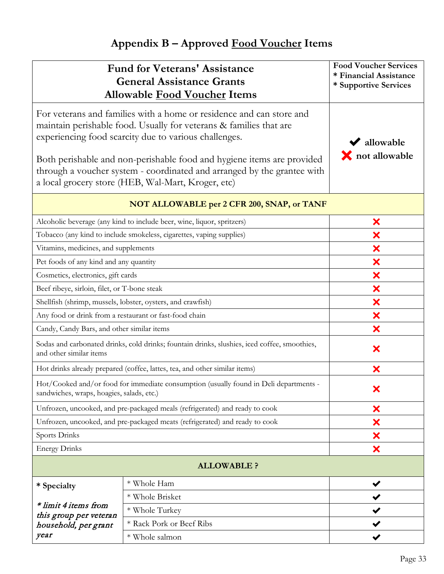# **Appendix B – Approved Food Voucher Items**

| <b>Fund for Veterans' Assistance</b><br><b>General Assistance Grants</b><br><b>Allowable Food Voucher Items</b>                                                                                                                                                                                                                                                                                                | <b>Food Voucher Services</b><br>* Financial Assistance<br>* Supportive Services |              |  |  |
|----------------------------------------------------------------------------------------------------------------------------------------------------------------------------------------------------------------------------------------------------------------------------------------------------------------------------------------------------------------------------------------------------------------|---------------------------------------------------------------------------------|--------------|--|--|
| For veterans and families with a home or residence and can store and<br>maintain perishable food. Usually for veterans & families that are<br>experiencing food scarcity due to various challenges.<br>Both perishable and non-perishable food and hygiene items are provided<br>through a voucher system - coordinated and arranged by the grantee with<br>a local grocery store (HEB, Wal-Mart, Kroger, etc) | allowable<br><b>X</b> not allowable                                             |              |  |  |
|                                                                                                                                                                                                                                                                                                                                                                                                                | NOT ALLOWABLE per 2 CFR 200, SNAP, or TANF                                      |              |  |  |
|                                                                                                                                                                                                                                                                                                                                                                                                                | Alcoholic beverage (any kind to include beer, wine, liquor, spritzers)          | ×            |  |  |
|                                                                                                                                                                                                                                                                                                                                                                                                                | Tobacco (any kind to include smokeless, cigarettes, vaping supplies)            | ×            |  |  |
| Vitamins, medicines, and supplements                                                                                                                                                                                                                                                                                                                                                                           |                                                                                 | ×            |  |  |
| Pet foods of any kind and any quantity                                                                                                                                                                                                                                                                                                                                                                         |                                                                                 | ×            |  |  |
| Cosmetics, electronics, gift cards                                                                                                                                                                                                                                                                                                                                                                             |                                                                                 | ×            |  |  |
| Beef ribeye, sirloin, filet, or T-bone steak                                                                                                                                                                                                                                                                                                                                                                   |                                                                                 | ×            |  |  |
| Shellfish (shrimp, mussels, lobster, oysters, and crawfish)                                                                                                                                                                                                                                                                                                                                                    | ×                                                                               |              |  |  |
| Any food or drink from a restaurant or fast-food chain                                                                                                                                                                                                                                                                                                                                                         | ×                                                                               |              |  |  |
| Candy, Candy Bars, and other similar items                                                                                                                                                                                                                                                                                                                                                                     | ×                                                                               |              |  |  |
| Sodas and carbonated drinks, cold drinks; fountain drinks, slushies, iced coffee, smoothies,<br>and other similar items                                                                                                                                                                                                                                                                                        | ×                                                                               |              |  |  |
|                                                                                                                                                                                                                                                                                                                                                                                                                | Hot drinks already prepared (coffee, lattes, tea, and other similar items)      | ×            |  |  |
| Hot/Cooked and/or food for immediate consumption (usually found in Deli departments<br>sandwiches, wraps, hoagies, salads, etc.)                                                                                                                                                                                                                                                                               | ×                                                                               |              |  |  |
|                                                                                                                                                                                                                                                                                                                                                                                                                | Unfrozen, uncooked, and pre-packaged meals (refrigerated) and ready to cook     | ×            |  |  |
|                                                                                                                                                                                                                                                                                                                                                                                                                | Unfrozen, uncooked, and pre-packaged meats (refrigerated) and ready to cook     | ×            |  |  |
| Sports Drinks                                                                                                                                                                                                                                                                                                                                                                                                  |                                                                                 | ×            |  |  |
| <b>Energy Drinks</b>                                                                                                                                                                                                                                                                                                                                                                                           |                                                                                 | ×            |  |  |
| <b>ALLOWABLE ?</b>                                                                                                                                                                                                                                                                                                                                                                                             |                                                                                 |              |  |  |
| * Specialty                                                                                                                                                                                                                                                                                                                                                                                                    | * Whole Ham                                                                     | $\checkmark$ |  |  |
|                                                                                                                                                                                                                                                                                                                                                                                                                | * Whole Brisket                                                                 |              |  |  |
| * limit 4 items from<br>this group per veteran                                                                                                                                                                                                                                                                                                                                                                 | * Whole Turkey                                                                  |              |  |  |
| household, per grant                                                                                                                                                                                                                                                                                                                                                                                           | * Rack Pork or Beef Ribs                                                        |              |  |  |
| year                                                                                                                                                                                                                                                                                                                                                                                                           | * Whole salmon                                                                  |              |  |  |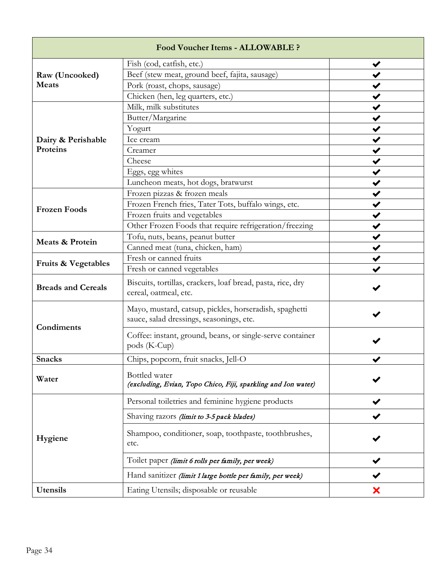| <b>Food Voucher Items - ALLOWABLE ?</b> |                                                                                                    |   |  |  |
|-----------------------------------------|----------------------------------------------------------------------------------------------------|---|--|--|
|                                         | Fish (cod, catfish, etc.)                                                                          |   |  |  |
| Raw (Uncooked)                          | Beef (stew meat, ground beef, fajita, sausage)                                                     |   |  |  |
| <b>Meats</b>                            | Pork (roast, chops, sausage)                                                                       |   |  |  |
|                                         | Chicken (hen, leg quarters, etc.)                                                                  |   |  |  |
|                                         | Milk, milk substitutes                                                                             |   |  |  |
|                                         | Butter/Margarine                                                                                   |   |  |  |
|                                         | Yogurt                                                                                             |   |  |  |
| Dairy & Perishable                      | Ice cream                                                                                          |   |  |  |
| Proteins                                | Creamer                                                                                            |   |  |  |
|                                         | Cheese                                                                                             |   |  |  |
|                                         | Eggs, egg whites                                                                                   |   |  |  |
|                                         | Luncheon meats, hot dogs, bratwurst                                                                |   |  |  |
|                                         | Frozen pizzas & frozen meals                                                                       |   |  |  |
| <b>Frozen Foods</b>                     | Frozen French fries, Tater Tots, buffalo wings, etc.                                               |   |  |  |
|                                         | Frozen fruits and vegetables                                                                       |   |  |  |
|                                         | Other Frozen Foods that require refrigeration/freezing                                             |   |  |  |
| <b>Meats &amp; Protein</b>              | Tofu, nuts, beans, peanut butter                                                                   |   |  |  |
|                                         | Canned meat (tuna, chicken, ham)                                                                   |   |  |  |
|                                         | Fresh or canned fruits                                                                             |   |  |  |
| <b>Fruits &amp; Vegetables</b>          | Fresh or canned vegetables                                                                         |   |  |  |
| <b>Breads and Cereals</b>               | Biscuits, tortillas, crackers, loaf bread, pasta, rice, dry<br>cereal, oatmeal, etc.               |   |  |  |
|                                         | Mayo, mustard, catsup, pickles, horseradish, spaghetti<br>sauce, salad dressings, seasonings, etc. |   |  |  |
| Condiments                              | Coffee: instant, ground, beans, or single-serve container<br>pods (K-Cup)                          |   |  |  |
| <b>Snacks</b>                           | Chips, popcorn, fruit snacks, Jell-O                                                               |   |  |  |
| Water                                   | Bottled water<br>(excluding, Evian, Topo Chico, Fiji, sparkling and Ion water)                     |   |  |  |
|                                         | Personal toiletries and feminine hygiene products                                                  |   |  |  |
|                                         | Shaving razors (limit to 3-5 pack blades)                                                          |   |  |  |
| Hygiene                                 | Shampoo, conditioner, soap, toothpaste, toothbrushes,<br>etc.                                      |   |  |  |
|                                         | Toilet paper (limit 6 rolls per family, per week)                                                  |   |  |  |
|                                         | Hand sanitizer (limit 1 large bottle per family, per week)                                         |   |  |  |
| Utensils                                | Eating Utensils; disposable or reusable                                                            | × |  |  |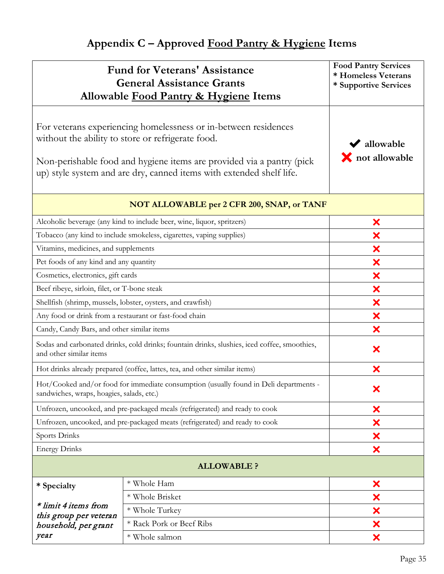# **Appendix C – Approved Food Pantry & Hygiene Items**

| <b>Fund for Veterans' Assistance</b><br><b>General Assistance Grants</b><br>Allowable Food Pantry & Hygiene Items                                                                                                                                                     | <b>Food Pantry Services</b><br>* Homeless Veterans<br>* Supportive Services |   |
|-----------------------------------------------------------------------------------------------------------------------------------------------------------------------------------------------------------------------------------------------------------------------|-----------------------------------------------------------------------------|---|
| For veterans experiencing homelessness or in-between residences<br>without the ability to store or refrigerate food.<br>Non-perishable food and hygiene items are provided via a pantry (pick<br>up) style system and are dry, canned items with extended shelf life. | $\blacktriangleright$ allowable<br><b>X</b> not allowable                   |   |
|                                                                                                                                                                                                                                                                       | NOT ALLOWABLE per 2 CFR 200, SNAP, or TANF                                  |   |
|                                                                                                                                                                                                                                                                       | Alcoholic beverage (any kind to include beer, wine, liquor, spritzers)      | × |
|                                                                                                                                                                                                                                                                       | Tobacco (any kind to include smokeless, cigarettes, vaping supplies)        | × |
| Vitamins, medicines, and supplements                                                                                                                                                                                                                                  |                                                                             | × |
| Pet foods of any kind and any quantity                                                                                                                                                                                                                                |                                                                             | × |
| Cosmetics, electronics, gift cards                                                                                                                                                                                                                                    |                                                                             | × |
| Beef ribeye, sirloin, filet, or T-bone steak                                                                                                                                                                                                                          |                                                                             | × |
| Shellfish (shrimp, mussels, lobster, oysters, and crawfish)                                                                                                                                                                                                           | ×                                                                           |   |
| Any food or drink from a restaurant or fast-food chain                                                                                                                                                                                                                | ×                                                                           |   |
| Candy, Candy Bars, and other similar items                                                                                                                                                                                                                            | ×                                                                           |   |
| Sodas and carbonated drinks, cold drinks; fountain drinks, slushies, iced coffee, smoothies,<br>and other similar items                                                                                                                                               | ×                                                                           |   |
| Hot drinks already prepared (coffee, lattes, tea, and other similar items)                                                                                                                                                                                            | ×                                                                           |   |
| Hot/Cooked and/or food for immediate consumption (usually found in Deli departments -<br>sandwiches, wraps, hoagies, salads, etc.)                                                                                                                                    | ×                                                                           |   |
|                                                                                                                                                                                                                                                                       | Unfrozen, uncooked, and pre-packaged meals (refrigerated) and ready to cook | × |
| Unfrozen, uncooked, and pre-packaged meats (refrigerated) and ready to cook                                                                                                                                                                                           | ×                                                                           |   |
| Sports Drinks                                                                                                                                                                                                                                                         | ×                                                                           |   |
| <b>Energy Drinks</b>                                                                                                                                                                                                                                                  | ×                                                                           |   |
|                                                                                                                                                                                                                                                                       | <b>ALLOWABLE ?</b>                                                          |   |
| * Specialty                                                                                                                                                                                                                                                           | * Whole Ham                                                                 | × |
|                                                                                                                                                                                                                                                                       | * Whole Brisket                                                             | × |
| * limit 4 items from                                                                                                                                                                                                                                                  | * Whole Turkey                                                              | × |
| this group per veteran<br>household, per grant                                                                                                                                                                                                                        | * Rack Pork or Beef Ribs                                                    | × |
| year                                                                                                                                                                                                                                                                  | * Whole salmon                                                              | × |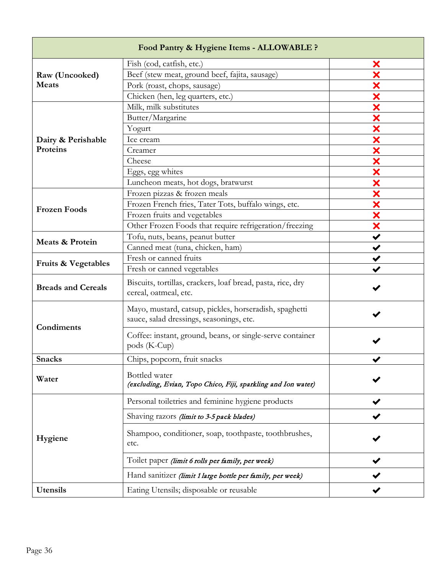| Food Pantry & Hygiene Items - ALLOWABLE ? |                                                                                                    |                      |  |  |
|-------------------------------------------|----------------------------------------------------------------------------------------------------|----------------------|--|--|
|                                           | Fish (cod, catfish, etc.)                                                                          | X                    |  |  |
| Raw (Uncooked)                            | Beef (stew meat, ground beef, fajita, sausage)                                                     |                      |  |  |
| <b>Meats</b>                              | Pork (roast, chops, sausage)                                                                       | ×                    |  |  |
|                                           | Chicken (hen, leg quarters, etc.)                                                                  | ×                    |  |  |
|                                           | Milk, milk substitutes                                                                             | ×                    |  |  |
|                                           | Butter/Margarine                                                                                   | ×                    |  |  |
|                                           | Yogurt                                                                                             | X                    |  |  |
| Dairy & Perishable                        | Ice cream                                                                                          | ×                    |  |  |
| Proteins                                  | Creamer                                                                                            | X                    |  |  |
|                                           | Cheese                                                                                             | X                    |  |  |
|                                           | Eggs, egg whites                                                                                   | X                    |  |  |
|                                           | Luncheon meats, hot dogs, bratwurst                                                                | ×                    |  |  |
|                                           | Frozen pizzas & frozen meals                                                                       | ×                    |  |  |
| <b>Frozen Foods</b>                       | Frozen French fries, Tater Tots, buffalo wings, etc.                                               | ×                    |  |  |
|                                           | Frozen fruits and vegetables                                                                       | ×                    |  |  |
|                                           | Other Frozen Foods that require refrigeration/freezing                                             | ×                    |  |  |
| Meats & Protein                           | Tofu, nuts, beans, peanut butter                                                                   |                      |  |  |
|                                           | Canned meat (tuna, chicken, ham)                                                                   | $\blacktriangledown$ |  |  |
|                                           | Fresh or canned fruits                                                                             |                      |  |  |
| Fruits & Vegetables                       | Fresh or canned vegetables                                                                         |                      |  |  |
| <b>Breads and Cereals</b>                 | Biscuits, tortillas, crackers, loaf bread, pasta, rice, dry<br>cereal, oatmeal, etc.               |                      |  |  |
| Condiments                                | Mayo, mustard, catsup, pickles, horseradish, spaghetti<br>sauce, salad dressings, seasonings, etc. |                      |  |  |
|                                           | Coffee: instant, ground, beans, or single-serve container<br>pods (K-Cup)                          |                      |  |  |
| <b>Snacks</b>                             | Chips, popcorn, fruit snacks                                                                       |                      |  |  |
| Water                                     | Bottled water<br>(excluding, Evian, Topo Chico, Fiji, sparkling and Ion water)                     |                      |  |  |
|                                           | Personal toiletries and feminine hygiene products                                                  |                      |  |  |
|                                           | Shaving razors (limit to 3-5 pack blades)                                                          |                      |  |  |
| Hygiene                                   | Shampoo, conditioner, soap, toothpaste, toothbrushes,<br>etc.                                      |                      |  |  |
|                                           | Toilet paper (limit 6 rolls per family, per week)                                                  |                      |  |  |
|                                           | Hand sanitizer (limit 1 large bottle per family, per week)                                         |                      |  |  |
| Utensils                                  | Eating Utensils; disposable or reusable                                                            |                      |  |  |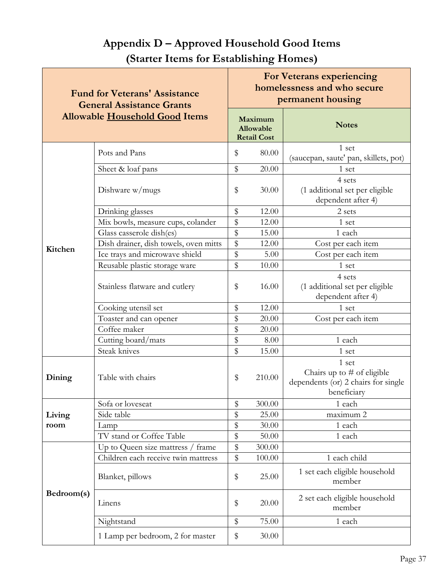#### **(Starter Items for Establishing Homes) Fund for Veterans' Assistance General Assistance Grants Allowable Household Good Items For Veterans experiencing homelessness and who secure permanent housing Maximum Allowable Retail Cost Notes Kitchen** Pots and Pans  $\begin{array}{c|c} \hline \text{S} & 80.00 \end{array}$   $\begin{array}{c} 1 \text{ set} \\ 1 \end{array}$ (saucepan, saute' pan, skillets, pot) Sheet & loaf pans  $\frac{1}{2}$   $\frac{1}{20.00}$  1 set Dishware  $w/mugs$   $\frac{1}{3}$  30.00 4 sets (1 additional set per eligible dependent after 4) Drinking glasses  $\frac{1}{3}$  12.00 2 sets Mix bowls, measure cups, colander  $\frac{1}{8}$  12.00 1 set Glass casserole dish(es)  $\boxed{\$}$  15.00 1 each Dish drainer, dish towels, oven mitts  $\frac{12.00}{\sqrt{12.00}}$  Cost per each item Ice trays and microwave shield <br>  $\frac{1}{8}$  5.00 Cost per each item Reusable plastic storage ware  $\frac{1}{8}$  10.00 | 1 set Stainless flatware and cutlery  $\frac{1}{8}$  16.00 4 sets (1 additional set per eligible dependent after 4) Cooking utensil set  $\frac{1}{2}$   $\frac{12.00}{1}$  1 set Toaster and can opener  $\begin{array}{|c|c|c|c|c|} \hline \text{$8$} & \text{20.00} & \text{Cost per each item} \end{array}$ Coffee maker  $\qquad$  \$ 20.00 Cutting board/mats <br> **\$** 8.00 1 each Steak knives <br>  $\frac{1}{3}$  15.00 1 set **Dining** Table with chairs  $\frac{1}{2}$  \$ 210.00 1 set Chairs up to  $#$  of eligible dependents (or) 2 chairs for single beneficiary Sofa or loveseat  $\frac{1}{3}$  300.00 | each

Side table  $\boxed{\$}$  25.00 maximum 2 Lamp  $\qquad \qquad \mid \$ \qquad \qquad 30.00 \qquad \qquad 1 \text{ each}$ TV stand or Coffee Table  $\begin{array}{|c|c|c|c|c|c|} \hline \text{S} & \text{50.00} & \text{1 each} \end{array}$ 

Children each receive twin mattress  $\begin{array}{|c|c|c|c|c|c|} \hline s & 100.00 & 1 & 1 \hline \end{array}$ 

Nightstand  $\frac{1}{2}$  75.00 1 each

Blanket, pillows  $\begin{array}{ccc} 1 & 1 & 1 \\ 25.00 & 1 \end{array}$  set each eligible household

Linens  $\begin{array}{c|c} 2 \text{ set each eligible household} \\ \end{array}$ 

Up to Queen size mattress / frame  $\frac{1}{8}$  300.00

1 Lamp per bedroom, 2 for master  $\frac{1}{8}$  30.00

**Living room**

**Bedroom(s)** 

# **Appendix D – Approved Household Good Items**

member

member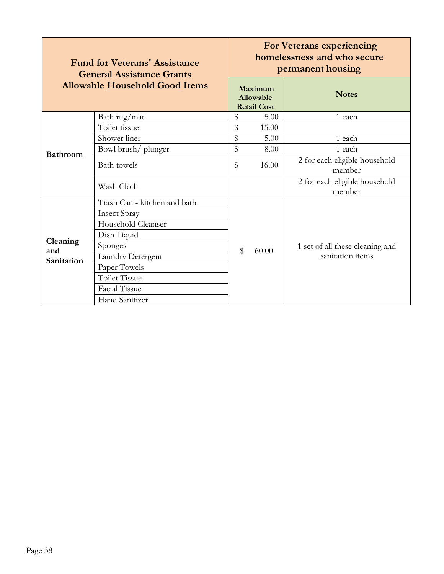| <b>Fund for Veterans' Assistance</b><br><b>General Assistance Grants</b> |                              |                                            | <b>For Veterans experiencing</b><br>homelessness and who secure<br>permanent housing |                                         |  |  |
|--------------------------------------------------------------------------|------------------------------|--------------------------------------------|--------------------------------------------------------------------------------------|-----------------------------------------|--|--|
| <b>Allowable Household Good Items</b>                                    |                              | Maximum<br>Allowable<br><b>Retail Cost</b> |                                                                                      | <b>Notes</b>                            |  |  |
|                                                                          | Bath rug/mat                 | \$                                         | 5.00                                                                                 | 1 each                                  |  |  |
|                                                                          | Toilet tissue                | \$                                         | 15.00                                                                                |                                         |  |  |
|                                                                          | Shower liner                 | \$                                         | 5.00                                                                                 | 1 each                                  |  |  |
| <b>Bathroom</b>                                                          | Bowl brush/plunger           | \$                                         | 8.00                                                                                 | 1 each                                  |  |  |
|                                                                          | <b>Bath</b> towels           | \$                                         | 16.00                                                                                | 2 for each eligible household<br>member |  |  |
|                                                                          | Wash Cloth                   |                                            |                                                                                      | 2 for each eligible household<br>member |  |  |
|                                                                          | Trash Can - kitchen and bath |                                            |                                                                                      |                                         |  |  |
|                                                                          | <b>Insect Spray</b>          |                                            |                                                                                      |                                         |  |  |
|                                                                          | Household Cleanser           |                                            |                                                                                      |                                         |  |  |
|                                                                          | Dish Liquid                  |                                            |                                                                                      |                                         |  |  |
| Cleaning<br>and                                                          | Sponges                      | $\mathbb{S}$                               | 60.00                                                                                | 1 set of all these cleaning and         |  |  |
| Sanitation                                                               | <b>Laundry Detergent</b>     |                                            |                                                                                      | sanitation items                        |  |  |
|                                                                          | Paper Towels                 |                                            |                                                                                      |                                         |  |  |
|                                                                          | <b>Toilet Tissue</b>         |                                            |                                                                                      |                                         |  |  |
|                                                                          | Facial Tissue                |                                            |                                                                                      |                                         |  |  |
|                                                                          | Hand Sanitizer               |                                            |                                                                                      |                                         |  |  |